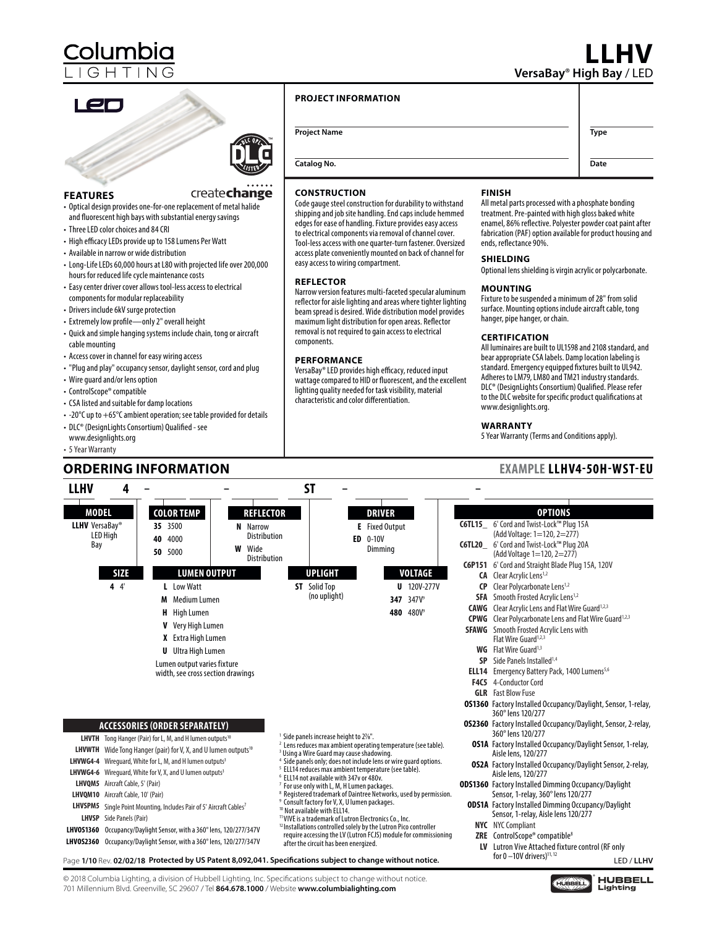## **LLHV VersaBay**® **High Bay** / LED

**Date**

## en



createchange

#### **FEATURES**

- Optical design provides one-for-one replacement of metal halide and fluorescent high bays with substantial energy savings
- Three LED color choices and 84 CRI
- High efficacy LEDs provide up to 158 Lumens Per Watt
- Available in narrow or wide distribution
- Long-Life LEDs 60,000 hours at L80 with projected life over 200,000 hours for reduced life cycle maintenance costs
- Easy center driver cover allows tool-less access to electrical components for modular replaceability
- Drivers include 6kV surge protection
- Extremely low profile—only 2" overall height
- Quick and simple hanging systems include chain, tong or aircraft cable mounting
- Access cover in channel for easy wiring access
- "Plug and play" occupancy sensor, daylight sensor, cord and plug
- Wire guard and/or lens option
- ControlScope® compatible
- CSA listed and suitable for damp locations
- -20°C up to +65°C ambient operation; see table provided for details
- DLC® (DesignLights Consortium) Qualified see www.designlights.org
- 5 Year Warranty

### **ORDERING INFORMATION EXAMPLE LLHV4-50H-WST-EU**

#### **PROJECT INFORMATION**

**Project Name Type** 

**Catalog No.**

#### **CONSTRUCTION**

Code gauge steel construction for durability to withstand shipping and job site handling. End caps include hemmed edges for ease of handling. Fixture provides easy access to electrical components via removal of channel cover. Tool-less access with one quarter-turn fastener. Oversized access plate conveniently mounted on back of channel for easy access to wiring compartment.

#### **REFLECTOR**

Narrow version features multi-faceted specular aluminum reflector for aisle lighting and areas where tighter lighting beam spread is desired. Wide distribution model provides maximum light distribution for open areas. Reflector removal is not required to gain access to electrical components.

#### **PERFORMANCE**

VersaBay® LED provides high efficacy, reduced input wattage compared to HID or fluorescent, and the excellent lighting quality needed for task visibility, material characteristic and color differentiation.

#### **FINISH**

All metal parts processed with a phosphate bonding treatment. Pre-painted with high gloss baked white enamel, 86% reflective. Polyester powder coat paint after fabrication (PAF) option available for product housing and ends, reflectance 90%.

#### **SHIELDING**

Optional lens shielding is virgin acrylic or polycarbonate.

#### **MOUNTING**

Fixture to be suspended a minimum of 28" from solid surface. Mounting options include aircraft cable, tong hanger, pipe hanger, or chain.

#### **CERTIFICATION**

All luminaires are built to UL1598 and 2108 standard, and bear appropriate CSA labels. Damp location labeling is standard. Emergency equipped fixtures built to UL942. Adheres to LM79, LM80 and TM21 industry standards. DLC® (DesignLights Consortium) Qualified. Please refer to the DLC website for specific product qualifications at www.designlights.org.

#### **WARRANTY**

5 Year Warranty (Terms and Conditions apply).

| LLHV                                         | 4                               |                                         |                                                                                                                                                                                                                                                                                                                                                                                                                                                                                                                                                                              |                                                                                             | SΤ                                                                                                                                                                                                                                                                                                                                                                                                                                                                                                                                                                                                                                                                                                                                                                                                                               |                                       |                                                                |                                                                                                                                                |           |                                                                                                                                                                                                                                                                                                                                                                                                                                                                                                                                                                                                                                                                                                                                      |
|----------------------------------------------|---------------------------------|-----------------------------------------|------------------------------------------------------------------------------------------------------------------------------------------------------------------------------------------------------------------------------------------------------------------------------------------------------------------------------------------------------------------------------------------------------------------------------------------------------------------------------------------------------------------------------------------------------------------------------|---------------------------------------------------------------------------------------------|----------------------------------------------------------------------------------------------------------------------------------------------------------------------------------------------------------------------------------------------------------------------------------------------------------------------------------------------------------------------------------------------------------------------------------------------------------------------------------------------------------------------------------------------------------------------------------------------------------------------------------------------------------------------------------------------------------------------------------------------------------------------------------------------------------------------------------|---------------------------------------|----------------------------------------------------------------|------------------------------------------------------------------------------------------------------------------------------------------------|-----------|--------------------------------------------------------------------------------------------------------------------------------------------------------------------------------------------------------------------------------------------------------------------------------------------------------------------------------------------------------------------------------------------------------------------------------------------------------------------------------------------------------------------------------------------------------------------------------------------------------------------------------------------------------------------------------------------------------------------------------------|
| <b>MODEL</b><br><b>LLHV</b> VersaBay®<br>Bay | <b>LED High</b>                 | 40<br>50                                | <b>COLOR TEMP</b><br>35 3500<br>4000<br>5000                                                                                                                                                                                                                                                                                                                                                                                                                                                                                                                                 | <b>REFLECTOR</b><br><b>N</b> Narrow<br>Distribution<br><b>W</b> Wide<br><b>Distribution</b> |                                                                                                                                                                                                                                                                                                                                                                                                                                                                                                                                                                                                                                                                                                                                                                                                                                  | ED                                    | <b>DRIVER</b><br><b>E</b> Fixed Output<br>$0 - 10V$<br>Dimming |                                                                                                                                                |           | <b>OPTIONS</b><br>C6TL15_6' Cord and Twist-Lock™ Plug 15A<br>(Add Voltage: 1=120, 2=277)<br>C6TL20 6' Cord and Twist-Lock™ Plug 20A<br>(Add Voltage 1=120, 2=277)                                                                                                                                                                                                                                                                                                                                                                                                                                                                                                                                                                    |
|                                              | <b>SIZE</b><br>44               |                                         | <b>LUMEN OUTPUT</b><br>L Low Watt<br>M Medium Lumen<br><b>H</b> High Lumen<br><b>V</b> Very High Lumen<br>X Extra High Lumen<br><b>U</b> Ultra High Lumen<br>Lumen output varies fixture<br>width, see cross section drawings                                                                                                                                                                                                                                                                                                                                                |                                                                                             | <b>UPLIGHT</b><br><b>ST</b> Solid Top                                                                                                                                                                                                                                                                                                                                                                                                                                                                                                                                                                                                                                                                                                                                                                                            | (no uplight)                          |                                                                | <b>VOLTAGE</b><br><b>U</b> 120V-277V<br>347 347V<br>480 480V <sup>9</sup>                                                                      | <b>CP</b> | C6P151 6' Cord and Straight Blade Plug 15A, 120V<br><b>CA</b> Clear Acrylic Lens <sup>1,2</sup><br>Clear Polycarbonate Lens <sup>1,2</sup><br><b>SFA</b> Smooth Frosted Acrylic Lens <sup>1,2</sup><br><b>CAWG</b> Clear Acrylic Lens and Flat Wire Guard <sup>1,2,3</sup><br><b>CPWG</b> Clear Polycarbonate Lens and Flat Wire Guard <sup>1,2,3</sup><br><b>SFAWG</b> Smooth Frosted Acrylic Lens with<br>Flat Wire Guard <sup>1,2,3</sup><br><b>WG</b> Flat Wire Guard <sup>1,3</sup><br>SP Side Panels Installed <sup>1,4</sup><br><b>ELL14</b> Emergency Battery Pack, 1400 Lumens <sup>5,6</sup><br>F4C5 4-Conductor Cord<br><b>GLR</b> Fast Blow Fuse<br><b>OS1360</b> Factory Installed Occupancy/Daylight, Sensor, 1-relay, |
| LHVOM10 Aircraft Cable, 10' (Pair)           | <b>LHVSP</b> Side Panels (Pair) | <b>LHVQM5</b> Aircraft Cable, 5' (Pair) | <b>ACCESSORIES (ORDER SEPARATELY)</b><br>LHVTH Tong Hanger (Pair) for L, M, and H lumen outputs <sup>10</sup><br>LHVWTH Wide Tong Hanger (pair) for V, X, and U lumen outputs <sup>10</sup><br>LHVWG4-4 Wirequard, White for L, M, and H lumen outputs <sup>3</sup><br>LHVWG4-6 Wirequard, White for V, X, and U lumen outputs <sup>3</sup><br>LHVSPM5 Single Point Mounting, Includes Pair of 5' Aircraft Cables <sup>7</sup><br>LHV0S1360 Occupancy/Daylight Sensor, with a 360° lens, 120/277/347V<br>LHV0S2360 Occupancy/Daylight Sensor, with a 360° lens, 120/277/347V |                                                                                             | <sup>1</sup> Side panels increase height to 2%".<br><sup>2</sup> Lens reduces max ambient operating temperature (see table).<br><sup>3</sup> Using a Wire Guard may cause shadowing.<br><sup>4</sup> Side panels only; does not include lens or wire quard options.<br><sup>5</sup> ELL14 reduces max ambient temperature (see table).<br><sup>6</sup> ELL14 not available with 347v or 480v.<br><sup>7</sup> For use only with L, M, H Lumen packages.<br><sup>9</sup> Consult factory for V, X, U lumen packages.<br><sup>10</sup> Not available with ELL14.<br><sup>11</sup> VIVE is a trademark of Lutron Electronics Co., Inc.<br><sup>12</sup> Installations controlled solely by the Lutron Pico controller<br>Page 1/10 Rev. 02/02/18 Protected by US Patent 8,092,041. Specifications subject to change without notice. | after the circuit has been energized. |                                                                | <sup>8</sup> Registered trademark of Daintree Networks, used by permission.<br>require accessing the LV (Lutron FCJS) module for commissioning |           | 360° lens 120/277<br><b>0S2360</b> Factory Installed Occupancy/Daylight, Sensor, 2-relay,<br>360° lens 120/277<br><b>OS1A</b> Factory Installed Occupancy/Daylight Sensor, 1-relay,<br>Aisle lens, 120/277<br><b>OS2A</b> Factory Installed Occupancy/Daylight Sensor, 2-relay,<br>Aisle lens, 120/277<br><b>ODS1360</b> Factory Installed Dimming Occupancy/Daylight<br>Sensor, 1-relay, 360° lens 120/277<br><b>ODS1A</b> Factory Installed Dimming Occupancy/Daylight<br>Sensor, 1-relay, Aisle lens 120/277<br><b>NYC</b> NYC Compliant<br><b>ZRE</b> ControlScope® compatible <sup>8</sup><br>LV Lutron Vive Attached fixture control (RF only<br>for 0 $-10V$ drivers) <sup>11, 12</sup><br>LED / LLHV                         |

© 2018 Columbia Lighting, a division of Hubbell Lighting, Inc. Specifications subject to change without notice. 701 Millennium Blvd. Greenville, SC 29607 / Tel **864.678.1000** / Website **www.columbialighting.com**

**HUBBELL**<br>Lighting HUBBELL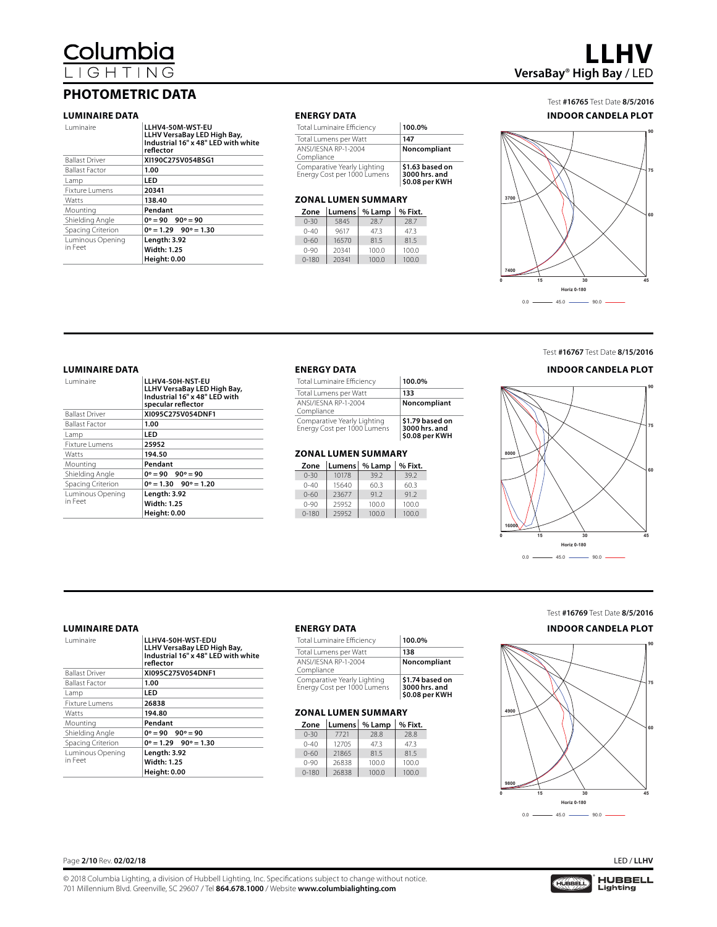Columbia G H

### **PHOTOMETRIC DATA**

#### **LUMINAIRE DATA ENERGY DATA**

| Luminaire             | LLHV4-50M-WST-EU<br>LLHV VersaBay LED High Bay,<br>Industrial 16" x 48" LED with white<br>reflector |
|-----------------------|-----------------------------------------------------------------------------------------------------|
| <b>Ballast Driver</b> | XI190C275V054BSG1                                                                                   |
| <b>Ballast Factor</b> | 1.00                                                                                                |
| Lamp                  | LED                                                                                                 |
| Fixture Lumens        | 20341                                                                                               |
| Watts                 | 138.40                                                                                              |
| Mounting              | Pendant                                                                                             |
| Shielding Angle       | $0^\circ = 90$ $90^\circ = 90$                                                                      |
| Spacing Criterion     | $0^\circ = 1.29$ $90^\circ = 1.30$                                                                  |
| Luminous Opening      | Length: 3.92                                                                                        |
| in Feet               | <b>Width: 1.25</b>                                                                                  |
|                       | <b>Height: 0.00</b>                                                                                 |

| Total Luminaire Efficiency                                 | 100.0%                                             |
|------------------------------------------------------------|----------------------------------------------------|
| Total Lumens per Watt                                      | 147                                                |
| ANSI/IFSNA RP-1-2004<br>Compliance                         | Noncompliant                                       |
| Comparative Yearly Lighting<br>Energy Cost per 1000 Lumens | \$1.63 based on<br>3000 hrs. and<br>\$0.08 per KWH |

#### **ZONAL LUMEN SUMMARY**

| Zone      |       | Lumens   % Lamp | % Fixt. |
|-----------|-------|-----------------|---------|
| $0 - 30$  | 5845  | 28.7            | 28.7    |
| $0 - 40$  | 9617  | 47.3            | 47.3    |
| $0 - 60$  | 16570 | 81.5            | 81.5    |
| $0 - 90$  | 20341 | 100.0           | 100.0   |
| $0 - 180$ | 20341 | 100.0           | 100.0   |



#### Test **#16765** Test Date **8/5/2016 INDOOR CANDELA PLOT**



### Test **#16767** Test Date **8/15/2016 INDOOR CANDELA PLOT**

**90**

#### **LUMINAIRE DATA ENERGY DATA**

| <b>Luminaire</b>      | LLHV4-50H-NST-EU<br>LLHV VersaBay LED High Bay,<br>Industrial 16" x 48" LED with<br>specular reflector |
|-----------------------|--------------------------------------------------------------------------------------------------------|
| <b>Ballast Driver</b> | XI095C275V054DNF1                                                                                      |
| <b>Ballast Factor</b> | 1.00                                                                                                   |
| Lamp                  | LED                                                                                                    |
| Fixture Lumens        | 25952                                                                                                  |
| Watts                 | 194.50                                                                                                 |
| Mounting              | Pendant                                                                                                |
| Shielding Angle       | $0^\circ = 90$ $90^\circ = 90$                                                                         |
| Spacing Criterion     | $0^\circ = 1.30$ $90^\circ = 1.20$                                                                     |
| Luminous Opening      | <b>Length: 3.92</b>                                                                                    |
| in Feet               | <b>Width: 1.25</b>                                                                                     |
|                       | <b>Height: 0.00</b>                                                                                    |

| <b>Total Luminaire Efficiency</b>                          | 100.0%                                             |
|------------------------------------------------------------|----------------------------------------------------|
| Total Lumens per Watt                                      | 133                                                |
| ANSI/IESNA RP-1-2004<br>Compliance                         | Noncompliant                                       |
| Comparative Yearly Lighting<br>Energy Cost per 1000 Lumens | \$1.79 based on<br>3000 hrs. and<br>\$0.08 per KWH |

#### **ZONAL LUMEN SUMMARY**

| Zone      |       | Lumens   % Lamp | % Fixt. |
|-----------|-------|-----------------|---------|
| $0 - 30$  | 10178 | 39.2            | 39.2    |
| $0 - 40$  | 15640 | 60.3            | 60.3    |
| $0 - 60$  | 23677 | 91.2            | 91.2    |
| $0 - 90$  | 25952 | 100.0           | 100.0   |
| $0 - 180$ | 25952 | 100.0           | 100.0   |

|   | 8000        |                    |    | 75<br>60 |
|---|-------------|--------------------|----|----------|
|   | 16000       |                    |    |          |
| 0 | 15          | 30                 | 45 |          |
|   |             | <b>Horiz 0-180</b> |    |          |
|   | 0.0<br>45.0 | 90.0               |    |          |

T

Ñ

≂

#### **LUMINAIRE DATA ENERGY DATA**

| Luminaire                   | LLHV4-50H-WST-EDU<br>LLHV VersaBay LED High Bay,<br>Industrial 16" x 48" LED with white<br>reflector |
|-----------------------------|------------------------------------------------------------------------------------------------------|
| <b>Ballast Driver</b>       | XI095C275V054DNF1                                                                                    |
| <b>Ballast Factor</b>       | 1.00                                                                                                 |
| Lamp                        | LED                                                                                                  |
| Fixture Lumens              | 26838                                                                                                |
| Watts                       | 194.80                                                                                               |
| Mounting                    | Pendant                                                                                              |
| Shielding Angle             | $0^\circ = 90$ $90^\circ = 90$                                                                       |
| Spacing Criterion           | $0^\circ = 1.29$ $90^\circ = 1.30$                                                                   |
| Luminous Opening<br>in Feet | Length: 3.92<br><b>Width: 1.25</b><br><b>Height: 0.00</b>                                            |

| Total Luminaire Efficiency                                 | 100.0%                                             |
|------------------------------------------------------------|----------------------------------------------------|
| Total Lumens per Watt                                      | 138                                                |
| ANSI/IESNA RP-1-2004<br>Compliance                         | Noncompliant                                       |
| Comparative Yearly Lighting<br>Energy Cost per 1000 Lumens | \$1.74 based on<br>3000 hrs. and<br>\$0.08 per KWH |

#### **ZONAL LUMEN SUMMARY**

| Zone      |       | Lumens   % Lamp | % Fixt. |
|-----------|-------|-----------------|---------|
| $0 - 30$  | 7721  | 28.8            | 28.8    |
| $0 - 40$  | 12705 | 47.3            | 47.3    |
| $0 - 60$  | 21865 | 81.5            | 81.5    |
| $0 - 90$  | 26838 | 100.0           | 100.0   |
| $0 - 180$ | 26838 | 100.0           | 100.0   |

### Test **#16769** Test Date **8/5/2016 INDOOR CANDELA PLOT**



Page **2/10** Rev. **02/02/18** LED / **LLHV**

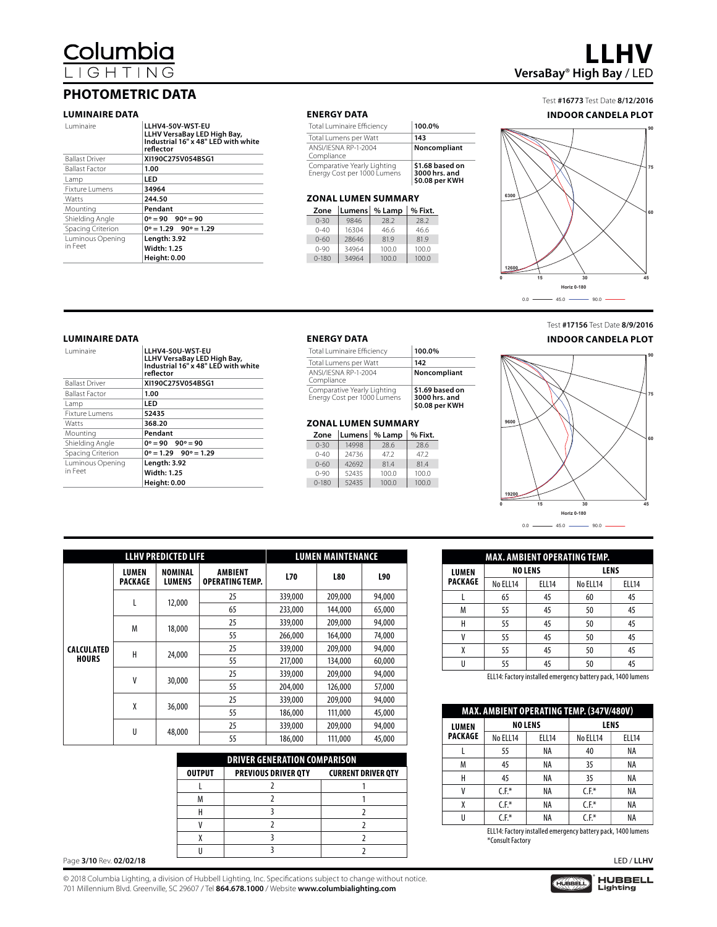columbia:

### **PHOTOMETRIC DATA**

#### **LUMINAIRE DATA**

| <b>Luminaire</b>            | LLHV4-50V-WST-EU<br>LLHV VersaBay LED High Bay,<br>Industrial 16" x 48" LED with white<br>reflector |
|-----------------------------|-----------------------------------------------------------------------------------------------------|
| <b>Ballast Driver</b>       | XI190C275V054BSG1                                                                                   |
| <b>Ballast Factor</b>       | 1.00                                                                                                |
| Lamp                        | LED                                                                                                 |
| <b>Fixture Lumens</b>       | 34964                                                                                               |
| Watts                       | 244.50                                                                                              |
| Mounting                    | Pendant                                                                                             |
| Shielding Angle             | $0^\circ = 90$ $90^\circ = 90$                                                                      |
| Spacing Criterion           | $0^\circ = 1.29$ $90^\circ = 1.29$                                                                  |
| Luminous Opening<br>in Feet | Length: 3.92<br><b>Width: 1.25</b><br><b>Height: 0.00</b>                                           |

#### **ENERGY DATA**

| Total Luminaire Efficiency                                 | 100.0%                                             |
|------------------------------------------------------------|----------------------------------------------------|
| Total Lumens per Watt                                      | 143                                                |
| ANSI/IESNA RP-1-2004<br>Compliance                         | Noncompliant                                       |
| Comparative Yearly Lighting<br>Energy Cost per 1000 Lumens | \$1.68 based on<br>3000 hrs. and<br>\$0.08 per KWH |

#### **ZONAL LUMEN SUMMARY**

| Zone      |       | Lumens % Lamp | $\frac{1}{2}$ % Fixt. |
|-----------|-------|---------------|-----------------------|
| $0 - 30$  | 9846  | 28.2          | 28.2                  |
| $0 - 40$  | 16304 | 46.6          | 46.6                  |
| $0 - 60$  | 28646 | 81.9          | 81.9                  |
| $0 - 90$  | 34964 | 100.0         | 100.0                 |
| $0 - 180$ | 34964 | 100.0         | 100.0                 |

## **LLHV VersaBay**® **High Bay** / LED

#### Test **#16773** Test Date **8/12/2016 INDOOR CANDELA PLOT**



#### **LUMINAIRE DATA**

| <b>Luminaire</b>      | LLHV4-50U-WST-EU<br>LLHV VersaBay LED High Bay,<br>Industrial 16" x 48" LED with white<br>reflector |
|-----------------------|-----------------------------------------------------------------------------------------------------|
| <b>Ballast Driver</b> | XI190C275V054BSG1                                                                                   |
| <b>Ballast Factor</b> | 1.00                                                                                                |
| Lamp                  | LED                                                                                                 |
| <b>Fixture Lumens</b> | 52435                                                                                               |
| Watts                 | 368.20                                                                                              |
| Mounting              | Pendant                                                                                             |
| Shielding Angle       | $0^\circ = 90$ $90^\circ = 90$                                                                      |
| Spacing Criterion     | $0^\circ = 1.29$ $90^\circ = 1.29$                                                                  |
| Luminous Opening      | Length: 3.92                                                                                        |
| in Feet               | <b>Width: 1.25</b>                                                                                  |
|                       | <b>Height: 0.00</b>                                                                                 |

#### **ENERGY DATA**

| Total Luminaire Efficiency                                 | 100.0%                                             |
|------------------------------------------------------------|----------------------------------------------------|
| Total Lumens per Watt                                      | 142                                                |
| ANSI/IESNA RP-1-2004<br>Compliance                         | Noncompliant                                       |
| Comparative Yearly Lighting<br>Energy Cost per 1000 Lumens | \$1.69 based on<br>3000 hrs. and<br>\$0.08 per KWH |

#### **ZONAL LUMEN SUMMARY**

| Zone      |       | Lumens   % Lamp | % Fixt. |
|-----------|-------|-----------------|---------|
| $0 - 30$  | 14998 | 28.6            | 28.6    |
| $0 - 40$  | 24736 | 47.2            | 47.2    |
| $0 - 60$  | 42692 | 81.4            | 81.4    |
| $0 - 90$  | 52435 | 100.0           | 100.0   |
| $0 - 180$ | 52435 | 100.0           | 100.0   |





|                   |                                | <b>LLHV PREDICTED LIFE</b>      | <b>LUMEN MAINTENANCE</b>          |         |            |        |  |
|-------------------|--------------------------------|---------------------------------|-----------------------------------|---------|------------|--------|--|
|                   | <b>LUMEN</b><br><b>PACKAGE</b> | <b>NOMINAL</b><br><b>LUMENS</b> | AMBIENT<br><b>OPERATING TEMP.</b> |         | <b>L80</b> | L90    |  |
|                   |                                | 12,000                          | 25                                | 339,000 | 209,000    | 94,000 |  |
|                   | L                              |                                 | 65                                | 233,000 | 144,000    | 65,000 |  |
|                   | M                              | 18,000                          | 25                                | 339,000 | 209,000    | 94,000 |  |
|                   |                                |                                 | 55                                | 266,000 | 164,000    | 74,000 |  |
| <b>CALCULATED</b> | Н                              | 24,000                          | 25                                | 339,000 | 209,000    | 94,000 |  |
| <b>HOURS</b>      |                                |                                 | 55                                | 217,000 | 134,000    | 60,000 |  |
|                   | V                              |                                 | 25                                | 339,000 | 209,000    | 94,000 |  |
|                   |                                | 30,000                          | 55                                | 204,000 | 126,000    | 57,000 |  |
|                   | χ                              |                                 | 25                                | 339,000 | 209,000    | 94,000 |  |
|                   |                                | 36,000                          | 55                                | 186,000 | 111,000    | 45,000 |  |
|                   |                                |                                 | 25                                | 339,000 | 209,000    | 94,000 |  |
|                   | U                              | 48,000                          | 55                                | 186,000 | 111,000    | 45,000 |  |

|                         |               |                                     |                           |   | 55               | <b>NA</b>                                                    | 40      | <b>NA</b>  |
|-------------------------|---------------|-------------------------------------|---------------------------|---|------------------|--------------------------------------------------------------|---------|------------|
|                         |               | <b>DRIVER GENERATION COMPARISON</b> |                           | M | 45               | NA                                                           | 35      | ΝA         |
|                         | <b>OUTPUT</b> | <b>PREVIOUS DRIVER QTY</b>          | <b>CURRENT DRIVER QTY</b> |   | 45               | NA                                                           | 35      | <b>NA</b>  |
|                         |               |                                     |                           |   | $C.F.*$          | NA                                                           | $C.F.*$ | NA         |
|                         |               |                                     |                           |   | C.F.*            | NA                                                           | $C.F.*$ | NA         |
|                         |               |                                     |                           |   | $C.F^*$          | NA                                                           | $C.F.*$ | NA         |
|                         |               |                                     |                           |   |                  |                                                              |         |            |
|                         |               |                                     |                           |   | *Consult Factory | ELL14: Factory installed emergency battery pack, 1400 lumens |         |            |
|                         |               |                                     |                           |   |                  |                                                              |         |            |
| Page 3/10 Rev. 02/02/18 |               |                                     |                           |   |                  |                                                              |         | LED / LLHV |

U | 55 | 45 | 50 | 45

**NO LENS LENS** No ELL14 | No ELL14 | ELL14 L | 65 | 45 | 60 | 45 M | 55 | 45 | 50 | 45 H | 55 | 45 | 50 | 45 V | 55 | 45 | 50 | 45 X | 55 | 45 | 50 | 45

**MAX. AMBIENT OPERATING TEMP.**

**LUMEN PACKAGE**

ELL14: Factory installed emergency battery pack, 1400 lumens

| MAX. AMBIENT OPERATING TEMP. (347V/480V) |                                                              |                |          |              |  |  |  |  |  |
|------------------------------------------|--------------------------------------------------------------|----------------|----------|--------------|--|--|--|--|--|
| <b>LUMEN</b>                             |                                                              | <b>NO LENS</b> | LENS     |              |  |  |  |  |  |
| PACKAGE                                  | No ELL14                                                     | <b>ELL14</b>   | No ELL14 | <b>ELL14</b> |  |  |  |  |  |
|                                          | 55                                                           | NA             | 40       | NA           |  |  |  |  |  |
| М                                        | 45                                                           | NA             | 35       | ΝA           |  |  |  |  |  |
| Н                                        | 45                                                           | ΝA             | 35       | ΝA           |  |  |  |  |  |
| ۷                                        | $C.F.*$                                                      | ΝA             | $C.F.*$  | ΝA           |  |  |  |  |  |
| X                                        | $C.F.*$                                                      | ΝA             | $C.F.*$  | ΝA           |  |  |  |  |  |
| U                                        | $C.F.*$                                                      | NA             | $C.F.*$  | NA           |  |  |  |  |  |
|                                          | ELL14: Factory installed emergency battery pack, 1400 lumens |                |          |              |  |  |  |  |  |

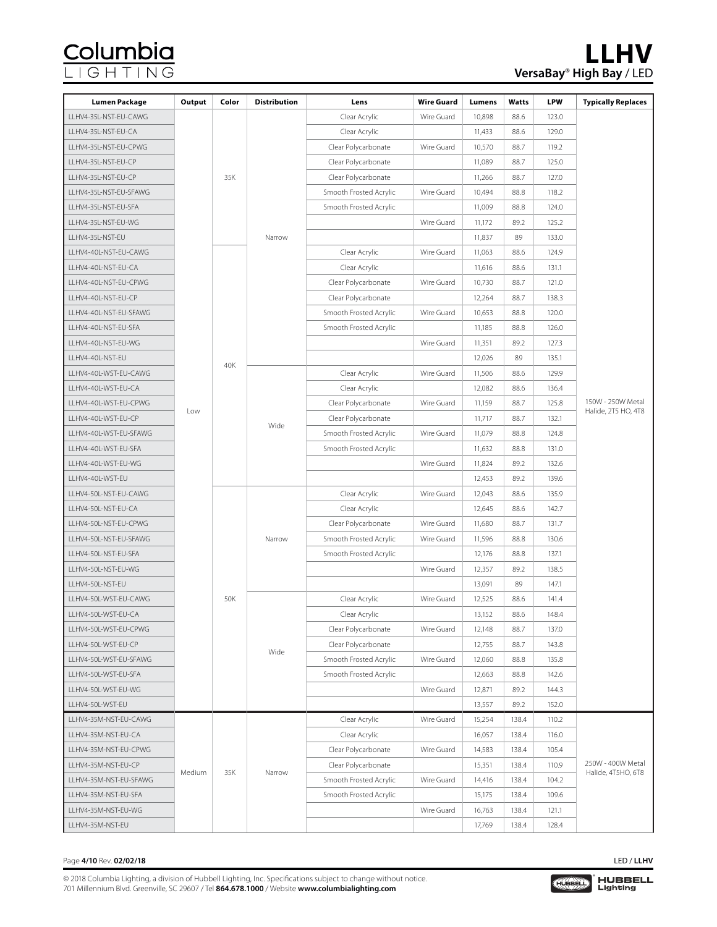| <b>Lumen Package</b>   | Output | Color | <b>Distribution</b> | Lens                   | <b>Wire Guard</b> | Lumens | Watts | <b>LPW</b> | <b>Typically Replaces</b>               |
|------------------------|--------|-------|---------------------|------------------------|-------------------|--------|-------|------------|-----------------------------------------|
| LLHV4-35L-NST-EU-CAWG  |        |       |                     | Clear Acrylic          | Wire Guard        | 10,898 | 88.6  | 123.0      |                                         |
| LLHV4-35L-NST-EU-CA    |        |       |                     | Clear Acrylic          |                   | 11,433 | 88.6  | 129.0      |                                         |
| LLHV4-35L-NST-EU-CPWG  |        |       |                     | Clear Polycarbonate    | Wire Guard        | 10,570 | 88.7  | 119.2      |                                         |
| LLHV4-35L-NST-EU-CP    |        |       |                     | Clear Polycarbonate    |                   | 11,089 | 88.7  | 125.0      |                                         |
| LLHV4-35L-NST-EU-CP    |        | 35K   |                     | Clear Polycarbonate    |                   | 11,266 | 88.7  | 127.0      |                                         |
| LLHV4-35L-NST-EU-SFAWG |        |       |                     | Smooth Frosted Acrylic | Wire Guard        | 10,494 | 88.8  | 118.2      |                                         |
| LLHV4-35L-NST-EU-SFA   |        |       |                     | Smooth Frosted Acrylic |                   | 11,009 | 88.8  | 124.0      |                                         |
| LLHV4-35L-NST-EU-WG    |        |       |                     |                        | Wire Guard        | 11,172 | 89.2  | 125.2      |                                         |
| LLHV4-35L-NST-EU       |        |       | Narrow              |                        |                   | 11,837 | 89    | 133.0      |                                         |
| LLHV4-40L-NST-EU-CAWG  |        |       |                     | Clear Acrylic          | Wire Guard        | 11,063 | 88.6  | 124.9      |                                         |
| LLHV4-40L-NST-EU-CA    |        |       |                     | Clear Acrylic          |                   | 11,616 | 88.6  | 131.1      |                                         |
| LLHV4-40L-NST-EU-CPWG  |        |       |                     | Clear Polycarbonate    | Wire Guard        | 10,730 | 88.7  | 121.0      |                                         |
| LLHV4-40L-NST-EU-CP    |        |       |                     | Clear Polycarbonate    |                   | 12,264 | 88.7  | 138.3      |                                         |
| LLHV4-40L-NST-EU-SFAWG |        |       |                     | Smooth Frosted Acrylic | Wire Guard        | 10,653 | 88.8  | 120.0      |                                         |
| LLHV4-40L-NST-EU-SFA   |        |       |                     | Smooth Frosted Acrylic |                   | 11,185 | 88.8  | 126.0      |                                         |
| LLHV4-40L-NST-EU-WG    |        |       |                     |                        | Wire Guard        | 11,351 | 89.2  | 127.3      |                                         |
| LLHV4-40L-NST-EU       |        |       |                     |                        |                   | 12,026 | 89    | 135.1      |                                         |
| LLHV4-40L-WST-EU-CAWG  |        | 40K   |                     | Clear Acrylic          | Wire Guard        | 11,506 | 88.6  | 129.9      |                                         |
| LLHV4-40L-WST-EU-CA    |        |       |                     | Clear Acrylic          |                   | 12,082 | 88.6  | 136.4      |                                         |
| LLHV4-40L-WST-EU-CPWG  |        |       |                     | Clear Polycarbonate    | Wire Guard        | 11,159 | 88.7  | 125.8      | 150W - 250W Metal                       |
| LLHV4-40L-WST-EU-CP    | Low    |       | Wide                | Clear Polycarbonate    |                   | 11,717 | 88.7  | 132.1      | Halide, 2T5 HO, 4T8                     |
| LLHV4-40L-WST-EU-SFAWG |        |       |                     | Smooth Frosted Acrylic | Wire Guard        | 11,079 | 88.8  | 124.8      |                                         |
| LLHV4-40L-WST-EU-SFA   |        |       |                     | Smooth Frosted Acrylic |                   | 11,632 | 88.8  | 131.0      |                                         |
| LLHV4-40L-WST-EU-WG    |        |       |                     |                        | Wire Guard        | 11,824 | 89.2  | 132.6      |                                         |
| LLHV4-40L-WST-EU       |        |       |                     |                        |                   | 12,453 | 89.2  | 139.6      |                                         |
| LLHV4-50L-NST-EU-CAWG  |        |       |                     | Clear Acrylic          | Wire Guard        | 12,043 | 88.6  | 135.9      |                                         |
| LLHV4-50L-NST-EU-CA    |        |       |                     | Clear Acrylic          |                   | 12,645 | 88.6  | 142.7      |                                         |
| LLHV4-50L-NST-EU-CPWG  |        |       |                     | Clear Polycarbonate    | Wire Guard        | 11,680 | 88.7  | 131.7      |                                         |
| LLHV4-50L-NST-EU-SFAWG |        |       | Narrow              | Smooth Frosted Acrylic | Wire Guard        | 11,596 | 88.8  | 130.6      |                                         |
| LLHV4-50L-NST-EU-SFA   |        |       |                     | Smooth Frosted Acrylic |                   | 12,176 | 88.8  | 137.1      |                                         |
| LLHV4-50L-NST-EU-WG    |        |       |                     |                        | Wire Guard        | 12,357 | 89.2  | 138.5      |                                         |
| LLHV4-50L-NST-EU       |        |       |                     |                        |                   | 13,091 | 89    | 147.1      |                                         |
| LLHV4-50L-WST-EU-CAWG  |        | 50K   |                     | Clear Acrylic          | Wire Guard        | 12,525 | 88.6  | 141.4      |                                         |
| LLHV4-50L-WST-EU-CA    |        |       |                     | Clear Acrylic          |                   | 13,152 | 88.6  | 148.4      |                                         |
| LLHV4-50L-WST-EU-CPWG  |        |       |                     | Clear Polycarbonate    | Wire Guard        | 12,148 | 88.7  | 137.0      |                                         |
| LLHV4-50L-WST-EU-CP    |        |       | Wide                | Clear Polycarbonate    |                   | 12,755 | 88.7  | 143.8      |                                         |
| LLHV4-50L-WST-EU-SFAWG |        |       |                     | Smooth Frosted Acrylic | Wire Guard        | 12,060 | 88.8  | 135.8      |                                         |
| LLHV4-50L-WST-EU-SFA   |        |       |                     | Smooth Frosted Acrylic |                   | 12,663 | 88.8  | 142.6      |                                         |
| LLHV4-50L-WST-EU-WG    |        |       |                     |                        | Wire Guard        | 12,871 | 89.2  | 144.3      |                                         |
| LLHV4-50L-WST-EU       |        |       |                     |                        |                   | 13,557 | 89.2  | 152.0      |                                         |
| LLHV4-35M-NST-EU-CAWG  |        |       |                     | Clear Acrylic          | Wire Guard        | 15,254 | 138.4 | 110.2      |                                         |
| LLHV4-35M-NST-EU-CA    |        |       |                     | Clear Acrylic          |                   | 16,057 | 138.4 | 116.0      |                                         |
| LLHV4-35M-NST-EU-CPWG  |        |       |                     | Clear Polycarbonate    | Wire Guard        | 14,583 | 138.4 | 105.4      |                                         |
| LLHV4-35M-NST-EU-CP    | Medium | 35K   | Narrow              | Clear Polycarbonate    |                   | 15,351 | 138.4 | 110.9      | 250W - 400W Metal<br>Halide, 4T5HO, 6T8 |
| LLHV4-35M-NST-EU-SFAWG |        |       |                     | Smooth Frosted Acrylic | Wire Guard        | 14,416 | 138.4 | 104.2      |                                         |
| LLHV4-35M-NST-EU-SFA   |        |       |                     | Smooth Frosted Acrylic |                   | 15,175 | 138.4 | 109.6      |                                         |
| LLHV4-35M-NST-EU-WG    |        |       |                     |                        | Wire Guard        | 16,763 | 138.4 | 121.1      |                                         |
| LLHV4-35M-NST-EU       |        |       |                     |                        |                   | 17,769 | 138.4 | 128.4      |                                         |

#### Page **4/10** Rev. **02/02/18** LED / **LLHV**

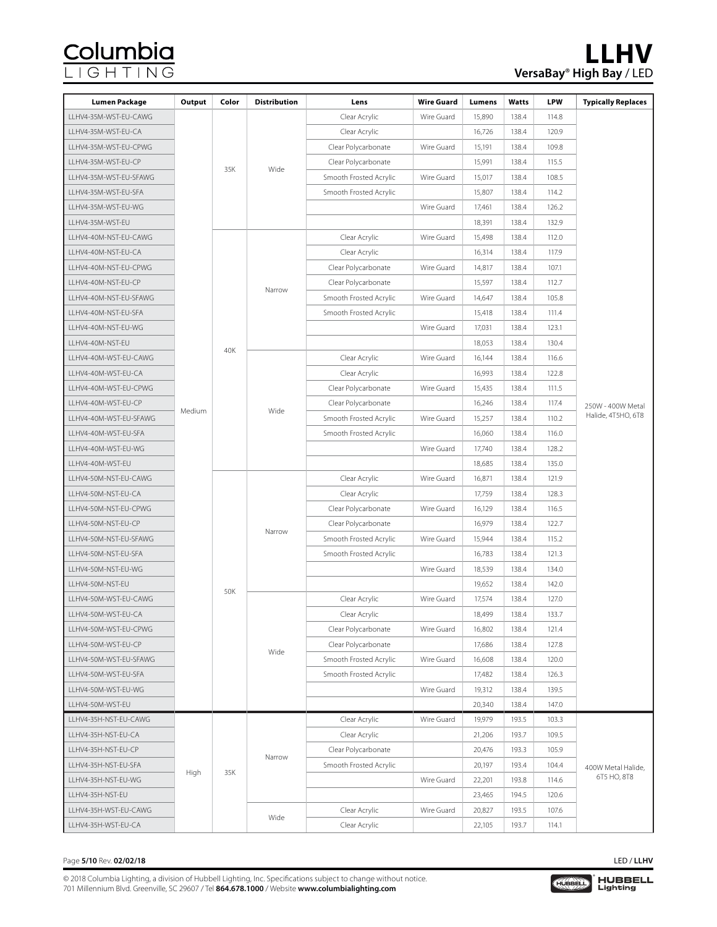## <u>Columbia</u><br>LIGHTING

| Lumen Package          | Output | Color | <b>Distribution</b> | Lens                   | <b>Wire Guard</b> | Lumens     | Watts  | <b>LPW</b>  | <b>Typically Replaces</b> |  |
|------------------------|--------|-------|---------------------|------------------------|-------------------|------------|--------|-------------|---------------------------|--|
| LLHV4-35M-WST-EU-CAWG  |        |       |                     | Clear Acrylic          | Wire Guard        | 15,890     | 138.4  | 114.8       |                           |  |
| LLHV4-35M-WST-EU-CA    |        |       |                     | Clear Acrylic          |                   | 16,726     | 138.4  | 120.9       |                           |  |
| LLHV4-35M-WST-EU-CPWG  |        |       |                     | Clear Polycarbonate    | Wire Guard        | 15,191     | 138.4  | 109.8       |                           |  |
| LLHV4-35M-WST-EU-CP    |        |       |                     | Clear Polycarbonate    |                   | 15,991     | 138.4  | 115.5       |                           |  |
| LLHV4-35M-WST-EU-SFAWG |        | 35K   | Wide                | Smooth Frosted Acrylic | Wire Guard        | 15,017     | 138.4  | 108.5       |                           |  |
| LLHV4-35M-WST-EU-SFA   |        |       |                     | Smooth Frosted Acrylic |                   | 15,807     | 138.4  | 114.2       |                           |  |
| LLHV4-35M-WST-EU-WG    |        |       |                     |                        | Wire Guard        | 17,461     | 138.4  | 126.2       |                           |  |
| LLHV4-35M-WST-EU       |        |       |                     |                        |                   | 18,391     | 138.4  | 132.9       |                           |  |
| LLHV4-40M-NST-EU-CAWG  |        |       |                     | Clear Acrylic          | Wire Guard        | 15,498     | 138.4  | 112.0       |                           |  |
| LLHV4-40M-NST-EU-CA    |        |       |                     | Clear Acrylic          |                   | 16,314     | 138.4  | 117.9       |                           |  |
| LLHV4-40M-NST-EU-CPWG  |        |       |                     | Clear Polycarbonate    | Wire Guard        | 14,817     | 138.4  | 107.1       |                           |  |
| LLHV4-40M-NST-EU-CP    |        |       |                     | Clear Polycarbonate    |                   | 15,597     | 138.4  | 112.7       |                           |  |
| LLHV4-40M-NST-EU-SFAWG |        |       | Narrow              | Smooth Frosted Acrylic | Wire Guard        | 14,647     | 138.4  | 105.8       |                           |  |
| LLHV4-40M-NST-EU-SFA   |        |       |                     | Smooth Frosted Acrylic |                   | 15,418     | 138.4  | 111.4       |                           |  |
| LLHV4-40M-NST-EU-WG    |        |       |                     |                        | Wire Guard        | 17,031     | 138.4  | 123.1       |                           |  |
| LLHV4-40M-NST-EU       |        |       |                     |                        |                   | 18,053     | 138.4  | 130.4       |                           |  |
| LLHV4-40M-WST-EU-CAWG  |        | 40K   |                     | Clear Acrylic          | Wire Guard        | 16,144     | 138.4  | 116.6       |                           |  |
| LLHV4-40M-WST-EU-CA    |        |       |                     | Clear Acrylic          |                   | 16,993     | 138.4  | 122.8       |                           |  |
| LLHV4-40M-WST-EU-CPWG  |        |       |                     | Clear Polycarbonate    | Wire Guard        | 15,435     | 138.4  | 111.5       |                           |  |
| LLHV4-40M-WST-EU-CP    |        |       |                     | Clear Polycarbonate    |                   | 16,246     | 138.4  | 117.4       | 250W - 400W Metal         |  |
| LLHV4-40M-WST-EU-SFAWG | Medium |       | Wide                | Smooth Frosted Acrylic | Wire Guard        | 15,257     | 138.4  | 110.2       | Halide, 4T5HO, 6T8        |  |
| LLHV4-40M-WST-EU-SFA   |        |       |                     | Smooth Frosted Acrylic |                   | 16,060     | 138.4  | 116.0       |                           |  |
| LLHV4-40M-WST-EU-WG    |        |       |                     |                        | Wire Guard        | 17,740     | 138.4  | 128.2       |                           |  |
| LLHV4-40M-WST-EU       |        |       |                     |                        |                   | 18,685     | 138.4  | 135.0       |                           |  |
| LLHV4-50M-NST-EU-CAWG  |        |       |                     | Clear Acrylic          | Wire Guard        | 16,871     | 138.4  | 121.9       |                           |  |
| LLHV4-50M-NST-EU-CA    |        |       | Narrow              | Clear Acrylic          |                   | 17,759     | 138.4  | 128.3       |                           |  |
| LLHV4-50M-NST-EU-CPWG  |        |       |                     | Clear Polycarbonate    | Wire Guard        | 16,129     | 138.4  | 116.5       |                           |  |
| LLHV4-50M-NST-EU-CP    |        |       |                     | Clear Polycarbonate    |                   | 16,979     | 138.4  | 122.7       |                           |  |
| LLHV4-50M-NST-EU-SFAWG |        |       |                     | Smooth Frosted Acrylic | Wire Guard        | 15,944     | 138.4  | 115.2       |                           |  |
| LLHV4-50M-NST-EU-SFA   |        |       |                     | Smooth Frosted Acrylic |                   | 16,783     | 138.4  | 121.3       |                           |  |
| LLHV4-50M-NST-EU-WG    |        |       |                     |                        | Wire Guard        | 18,539     | 138.4  | 134.0       |                           |  |
| LLHV4-50M-NST-EU       |        | 50K   |                     |                        |                   | 19,652     | 138.4  | 142.0       |                           |  |
| LLHV4-50M-WST-EU-CAWG  |        |       |                     | Clear Acrylic          | Wire Guard        | 17,574     | 138.4  | 127.0       |                           |  |
| LLHV4-50M-WST-EU-CA    |        |       |                     | Clear Acrylic          |                   | 18,499     | 138.4  | 133.7       |                           |  |
| LLHV4-50M-WST-EU-CPWG  |        |       |                     | Clear Polycarbonate    | Wire Guard        | 16,802     | 138.4  | 121.4       |                           |  |
| LLHV4-50M-WST-EU-CP    |        |       | Wide                | Clear Polycarbonate    |                   | 17,686     | 138.4  | 127.8       |                           |  |
| LLHV4-50M-WST-EU-SFAWG |        |       |                     | Smooth Frosted Acrylic | Wire Guard        | 16,608     | 138.4  | 120.0       |                           |  |
| LLHV4-50M-WST-EU-SFA   |        |       |                     | Smooth Frosted Acrylic |                   | 17,482     | 138.4  | 126.3       |                           |  |
| LLHV4-50M-WST-EU-WG    |        |       |                     |                        | Wire Guard        | 19,312     | 138.4  | 139.5       |                           |  |
| LLHV4-50M-WST-EU       |        |       |                     |                        |                   | 20,340     | 138.4  | 147.0       |                           |  |
| LLHV4-35H-NST-EU-CAWG  |        |       |                     | Clear Acrylic          | Wire Guard        | 19,979     | 193.5  | 103.3       |                           |  |
| LLHV4-35H-NST-EU-CA    |        |       |                     | Clear Acrylic          |                   | 21,206     | 193.7  | 109.5       |                           |  |
| LLHV4-35H-NST-EU-CP    |        |       | Narrow              | Clear Polycarbonate    |                   | 20,476     | 193.3  | 105.9       |                           |  |
| LLHV4-35H-NST-EU-SFA   | High   | 35K   |                     | Smooth Frosted Acrylic |                   | 20,197     | 193.4  | 104.4       | 400W Metal Halide,        |  |
| LLHV4-35H-NST-EU-WG    |        | Wide  |                     | Wire Guard             | 22,201            | 193.8      | 114.6  | 6T5 HO, 8T8 |                           |  |
| LLHV4-35H-NST-EU       |        |       |                     |                        |                   |            | 23,465 | 194.5       | 120.6                     |  |
| LLHV4-35H-WST-EU-CAWG  |        |       |                     |                        | Clear Acrylic     | Wire Guard | 20,827 | 193.5       | 107.6                     |  |
| LLHV4-35H-WST-EU-CA    |        |       |                     | Clear Acrylic          |                   | 22,105     | 193.7  | 114.1       |                           |  |

#### Page **5/10** Rev. **02/02/18** LED / **LLHV**

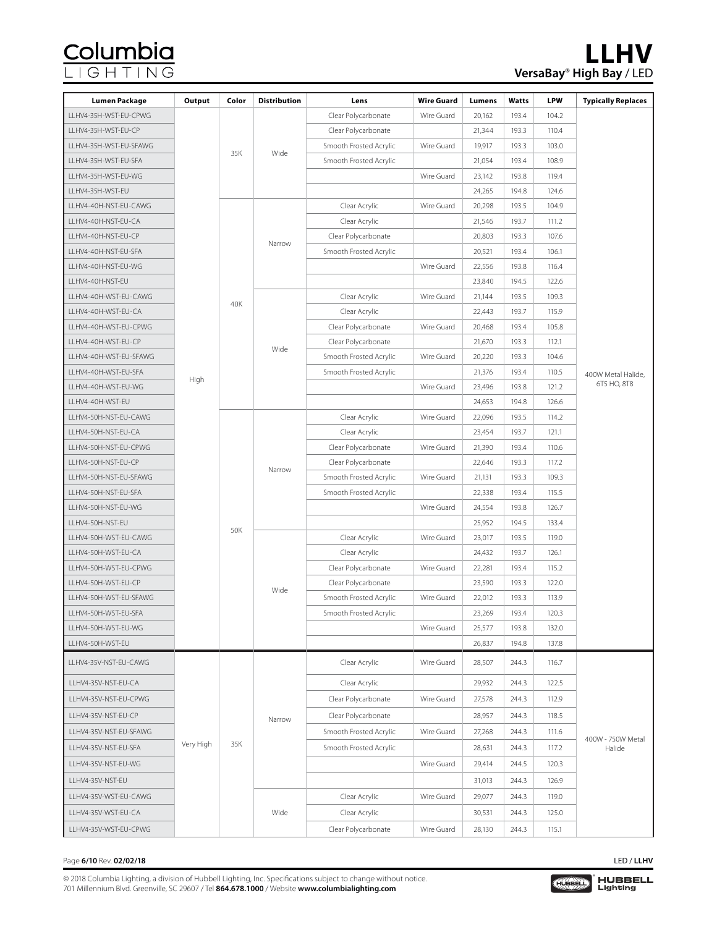| <b>Lumen Package</b>   | Output    | Color | <b>Distribution</b> | Lens                   | <b>Wire Guard</b> | Lumens | Watts | <b>LPW</b> | <b>Typically Replaces</b>   |
|------------------------|-----------|-------|---------------------|------------------------|-------------------|--------|-------|------------|-----------------------------|
| LLHV4-35H-WST-EU-CPWG  |           |       |                     | Clear Polycarbonate    | Wire Guard        | 20,162 | 193.4 | 104.2      |                             |
| LLHV4-35H-WST-EU-CP    |           |       |                     | Clear Polycarbonate    |                   | 21,344 | 193.3 | 110.4      |                             |
| LLHV4-35H-WST-EU-SFAWG |           |       |                     | Smooth Frosted Acrylic | Wire Guard        | 19,917 | 193.3 | 103.0      |                             |
| LLHV4-35H-WST-EU-SFA   |           | 35K   | Wide                | Smooth Frosted Acrylic |                   | 21,054 | 193.4 | 108.9      |                             |
| LLHV4-35H-WST-EU-WG    |           |       |                     |                        | Wire Guard        | 23,142 | 193.8 | 119.4      |                             |
| LLHV4-35H-WST-EU       |           |       |                     |                        |                   | 24,265 | 194.8 | 124.6      |                             |
| LLHV4-40H-NST-EU-CAWG  |           |       |                     | Clear Acrylic          | Wire Guard        | 20,298 | 193.5 | 104.9      |                             |
| LLHV4-40H-NST-EU-CA    |           |       |                     | Clear Acrylic          |                   | 21,546 | 193.7 | 111.2      |                             |
| LLHV4-40H-NST-EU-CP    |           |       | Narrow              | Clear Polycarbonate    |                   | 20,803 | 193.3 | 107.6      |                             |
| LLHV4-40H-NST-EU-SFA   |           |       |                     | Smooth Frosted Acrylic |                   | 20,521 | 193.4 | 106.1      |                             |
| LLHV4-40H-NST-EU-WG    |           |       |                     |                        | Wire Guard        | 22,556 | 193.8 | 116.4      |                             |
| LLHV4-40H-NST-EU       |           |       |                     |                        |                   | 23,840 | 194.5 | 122.6      |                             |
| LLHV4-40H-WST-EU-CAWG  |           | 40K   |                     | Clear Acrylic          | Wire Guard        | 21,144 | 193.5 | 109.3      |                             |
| LLHV4-40H-WST-EU-CA    |           |       |                     | Clear Acrylic          |                   | 22,443 | 193.7 | 115.9      |                             |
| LLHV4-40H-WST-EU-CPWG  |           |       |                     | Clear Polycarbonate    | Wire Guard        | 20,468 | 193.4 | 105.8      |                             |
| LLHV4-40H-WST-EU-CP    |           |       | Wide                | Clear Polycarbonate    |                   | 21,670 | 193.3 | 112.1      |                             |
| LLHV4-40H-WST-EU-SFAWG |           |       |                     | Smooth Frosted Acrylic | Wire Guard        | 20,220 | 193.3 | 104.6      |                             |
| LLHV4-40H-WST-EU-SFA   | High      |       |                     | Smooth Frosted Acrylic |                   | 21,376 | 193.4 | 110.5      | 400W Metal Halide.          |
| LLHV4-40H-WST-EU-WG    |           |       |                     |                        | Wire Guard        | 23,496 | 193.8 | 121.2      | 6T5 HO, 8T8                 |
| LLHV4-40H-WST-EU       |           |       |                     |                        |                   | 24,653 | 194.8 | 126.6      |                             |
| LLHV4-50H-NST-EU-CAWG  |           |       |                     | Clear Acrylic          | Wire Guard        | 22,096 | 193.5 | 114.2      |                             |
| LLHV4-50H-NST-EU-CA    |           |       |                     | Clear Acrylic          |                   | 23,454 | 193.7 | 121.1      |                             |
| LLHV4-50H-NST-EU-CPWG  |           |       |                     | Clear Polycarbonate    | Wire Guard        | 21,390 | 193.4 | 110.6      |                             |
| LLHV4-50H-NST-EU-CP    |           |       | Narrow              | Clear Polycarbonate    |                   | 22,646 | 193.3 | 117.2      |                             |
| LLHV4-50H-NST-EU-SFAWG |           |       |                     | Smooth Frosted Acrylic | Wire Guard        | 21,131 | 193.3 | 109.3      |                             |
| LLHV4-50H-NST-EU-SFA   |           |       |                     | Smooth Frosted Acrylic |                   | 22,338 | 193.4 | 115.5      |                             |
| LLHV4-50H-NST-EU-WG    |           |       |                     |                        | Wire Guard        | 24,554 | 193.8 | 126.7      |                             |
| LLHV4-50H-NST-EU       |           | 50K   |                     |                        |                   | 25,952 | 194.5 | 133.4      |                             |
| LLHV4-50H-WST-EU-CAWG  |           |       |                     | Clear Acrylic          | Wire Guard        | 23,017 | 193.5 | 119.0      |                             |
| LLHV4-50H-WST-EU-CA    |           |       |                     | Clear Acrylic          |                   | 24,432 | 193.7 | 126.1      |                             |
| LLHV4-50H-WST-EU-CPWG  |           |       |                     | Clear Polycarbonate    | Wire Guard        | 22,281 | 193.4 | 115.2      |                             |
| LLHV4-50H-WST-EU-CP    |           |       | Wide                | Clear Polycarbonate    |                   | 23,590 | 193.3 | 122.0      |                             |
| LLHV4-50H-WST-EU-SFAWG |           |       |                     | Smooth Frosted Acrylic | Wire Guard        | 22,012 | 193.3 | 113.9      |                             |
| LLHV4-50H-WST-EU-SFA   |           |       |                     | Smooth Frosted Acrylic |                   | 23,269 | 193.4 | 120.3      |                             |
| LLHV4-50H-WST-EU-WG    |           |       |                     |                        | Wire Guard        | 25,577 | 193.8 | 132.0      |                             |
| LLHV4-50H-WST-EU       |           |       |                     |                        |                   | 26,837 | 194.8 | 137.8      |                             |
| LLHV4-35V-NST-EU-CAWG  |           |       |                     | Clear Acrylic          | Wire Guard        | 28,507 | 244.3 | 116.7      |                             |
| LLHV4-35V-NST-EU-CA    |           |       |                     | Clear Acrylic          |                   | 29,932 | 244.3 | 122.5      |                             |
| LLHV4-35V-NST-EU-CPWG  |           |       |                     | Clear Polycarbonate    | Wire Guard        | 27,578 | 244.3 | 112.9      |                             |
| LLHV4-35V-NST-EU-CP    |           |       | Narrow              | Clear Polycarbonate    |                   | 28,957 | 244.3 | 118.5      |                             |
| LLHV4-35V-NST-EU-SFAWG |           |       |                     | Smooth Frosted Acrylic | Wire Guard        | 27,268 | 244.3 | 111.6      |                             |
| LLHV4-35V-NST-EU-SFA   | Very High | 35K   |                     | Smooth Frosted Acrylic |                   | 28,631 | 244.3 | 117.2      | 400W - 750W Metal<br>Halide |
| LLHV4-35V-NST-EU-WG    |           |       |                     |                        | Wire Guard        | 29,414 | 244.5 | 120.3      |                             |
| LLHV4-35V-NST-EU       |           |       |                     |                        |                   | 31,013 | 244.3 | 126.9      |                             |
| LLHV4-35V-WST-EU-CAWG  |           | Wide  |                     | Clear Acrylic          | Wire Guard        | 29,077 | 244.3 | 119.0      |                             |
| LLHV4-35V-WST-EU-CA    |           |       |                     | Clear Acrylic          |                   | 30,531 | 244.3 | 125.0      |                             |
| LLHV4-35V-WST-EU-CPWG  |           |       |                     | Clear Polycarbonate    | Wire Guard        | 28,130 | 244.3 | 115.1      |                             |

#### Page **6/10** Rev. **02/02/18** LED / **LLHV**

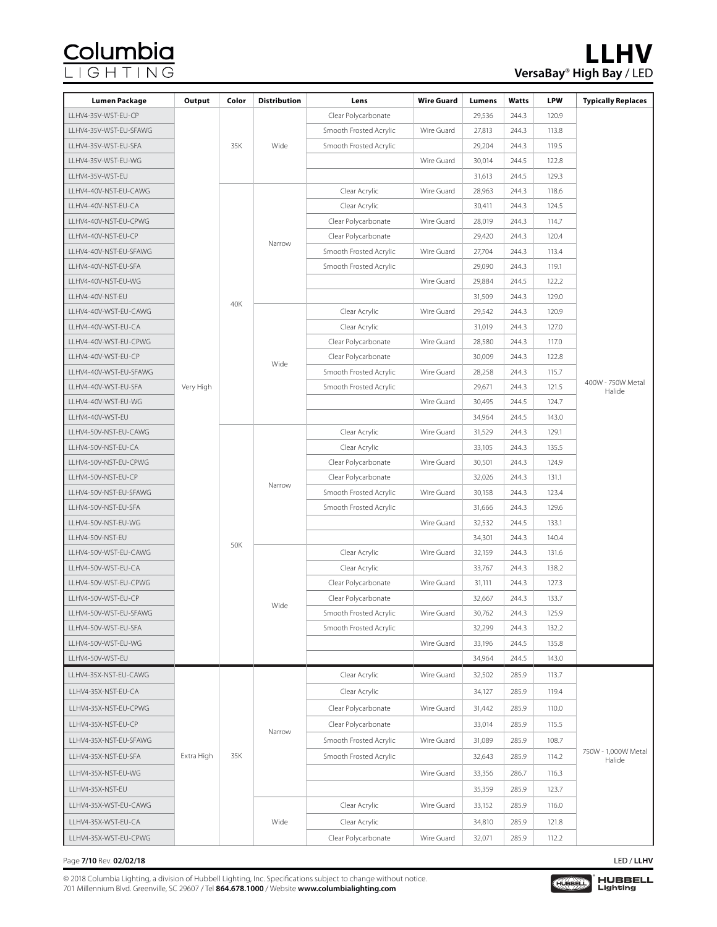| LLHV4-35V-WST-EU-CP<br>Clear Polycarbonate<br>29,536<br>244.3<br>120.9<br>Smooth Frosted Acrylic<br>Wire Guard<br>27,813<br>244.3<br>113.8<br>LLHV4-35V-WST-EU-SFAWG<br>35K<br>Wide<br>Smooth Frosted Acrylic<br>29,204<br>244.3<br>119.5<br>LLHV4-35V-WST-EU-SFA<br>LLHV4-35V-WST-EU-WG<br>Wire Guard<br>30,014<br>244.5<br>122.8<br>LLHV4-35V-WST-EU<br>31,613<br>244.5<br>129.3<br>Clear Acrylic<br>28,963<br>LLHV4-40V-NST-EU-CAWG<br>Wire Guard<br>244.3<br>118.6<br>LLHV4-40V-NST-EU-CA<br>Clear Acrylic<br>30,411<br>244.3<br>124.5<br>LLHV4-40V-NST-EU-CPWG<br>Clear Polycarbonate<br>Wire Guard<br>28,019<br>244.3<br>114.7<br>LLHV4-40V-NST-EU-CP<br>29,420<br>244.3<br>Clear Polycarbonate<br>120.4<br>Narrow<br>Wire Guard<br>LLHV4-40V-NST-EU-SFAWG<br>Smooth Frosted Acrylic<br>27,704<br>244.3<br>113.4<br>LLHV4-40V-NST-EU-SFA<br>Smooth Frosted Acrylic<br>29,090<br>244.3<br>119.1<br>Wire Guard<br>29,884<br>244.5<br>122.2<br>LLHV4-40V-NST-EU-WG<br>31,509<br>129.0<br>LLHV4-40V-NST-EU<br>244.3<br>40K<br>Clear Acrylic<br>Wire Guard<br>29,542<br>244.3<br>120.9<br>LLHV4-40V-WST-EU-CAWG<br>Clear Acrylic<br>LLHV4-40V-WST-EU-CA<br>31,019<br>244.3<br>127.0<br>244.3<br>117.0<br>LLHV4-40V-WST-EU-CPWG<br>Clear Polycarbonate<br>Wire Guard<br>28,580<br>30,009<br>244.3<br>LLHV4-40V-WST-EU-CP<br>Clear Polycarbonate<br>122.8<br>Wide<br>Smooth Frosted Acrylic<br>LLHV4-40V-WST-EU-SFAWG<br>Wire Guard<br>28,258<br>244.3<br>115.7<br>400W - 750W Metal<br>Very High<br>Smooth Frosted Acrylic<br>29,671<br>244.3<br>121.5<br>LLHV4-40V-WST-EU-SFA<br>Halide<br>LLHV4-40V-WST-EU-WG<br>30,495<br>244.5<br>Wire Guard<br>124.7<br>LLHV4-40V-WST-EU<br>34,964<br>244.5<br>143.0<br>LLHV4-50V-NST-EU-CAWG<br>Clear Acrylic<br>Wire Guard<br>31,529<br>244.3<br>129.1<br>LLHV4-50V-NST-EU-CA<br>33,105<br>244.3<br>135.5<br>Clear Acrylic<br>Clear Polycarbonate<br>Wire Guard<br>30,501<br>244.3<br>124.9<br>LLHV4-50V-NST-EU-CPWG<br>Clear Polycarbonate<br>32,026<br>LLHV4-50V-NST-EU-CP<br>244.3<br>131.1<br>Narrow<br>Smooth Frosted Acrylic<br>30,158<br>LLHV4-50V-NST-EU-SFAWG<br>Wire Guard<br>244.3<br>123.4<br>Smooth Frosted Acrylic<br>LLHV4-50V-NST-EU-SFA<br>31,666<br>244.3<br>129.6<br>LLHV4-50V-NST-EU-WG<br>Wire Guard<br>32,532<br>244.5<br>133.1<br>LLHV4-50V-NST-EU<br>34,301<br>244.3<br>140.4<br>50K<br>LLHV4-50V-WST-EU-CAWG<br>Clear Acrylic<br>Wire Guard<br>32,159<br>244.3<br>131.6<br>Clear Acrylic<br>244.3<br>138.2<br>LLHV4-50V-WST-EU-CA<br>33,767<br>Clear Polycarbonate<br>LLHV4-50V-WST-EU-CPWG<br>Wire Guard<br>31,111<br>244.3<br>127.3<br>LLHV4-50V-WST-EU-CP<br>Clear Polycarbonate<br>32,667<br>244.3<br>133.7<br>Wide<br>Wire Guard<br>30,762<br>244.3<br>125.9<br>LLHV4-50V-WST-EU-SFAWG<br>Smooth Frosted Acrylic<br>LLHV4-50V-WST-EU-SFA<br>32,299<br>244.3<br>132.2<br>Smooth Frosted Acrylic<br>LLHV4-50V-WST-EU-WG<br>Wire Guard<br>33,196<br>244.5<br>135.8<br>LLHV4-50V-WST-EU<br>34,964<br>143.0<br>244.5<br>LLHV4-35X-NST-EU-CAWG<br>Clear Acrylic<br>Wire Guard<br>32,502<br>285.9<br>113.7<br>LLHV4-35X-NST-EU-CA<br>Clear Acrylic<br>34,127<br>285.9<br>119.4<br>Clear Polycarbonate<br>Wire Guard<br>31,442<br>285.9<br>110.0<br>LLHV4-35X-NST-EU-CPWG<br>LLHV4-35X-NST-EU-CP<br>Clear Polycarbonate<br>33,014<br>285.9<br>115.5<br>Narrow<br>LLHV4-35X-NST-EU-SFAWG<br>Smooth Frosted Acrylic<br>Wire Guard<br>31,089<br>285.9<br>108.7<br>750W - 1,000W Metal<br>Extra High<br>35K<br>Smooth Frosted Acrylic<br>32,643<br>285.9<br>114.2<br>LLHV4-35X-NST-EU-SFA<br>Halide<br>Wire Guard<br>33,356<br>LLHV4-35X-NST-EU-WG<br>286.7<br>116.3<br>LLHV4-35X-NST-EU<br>35,359<br>285.9<br>123.7<br>LLHV4-35X-WST-EU-CAWG<br>Clear Acrylic<br>Wire Guard<br>33,152<br>285.9<br>116.0 | Lumen Package       | Output | Color | <b>Distribution</b> | Lens          | <b>Wire Guard</b> | Lumens | Watts | <b>LPW</b> | <b>Typically Replaces</b> |
|-------------------------------------------------------------------------------------------------------------------------------------------------------------------------------------------------------------------------------------------------------------------------------------------------------------------------------------------------------------------------------------------------------------------------------------------------------------------------------------------------------------------------------------------------------------------------------------------------------------------------------------------------------------------------------------------------------------------------------------------------------------------------------------------------------------------------------------------------------------------------------------------------------------------------------------------------------------------------------------------------------------------------------------------------------------------------------------------------------------------------------------------------------------------------------------------------------------------------------------------------------------------------------------------------------------------------------------------------------------------------------------------------------------------------------------------------------------------------------------------------------------------------------------------------------------------------------------------------------------------------------------------------------------------------------------------------------------------------------------------------------------------------------------------------------------------------------------------------------------------------------------------------------------------------------------------------------------------------------------------------------------------------------------------------------------------------------------------------------------------------------------------------------------------------------------------------------------------------------------------------------------------------------------------------------------------------------------------------------------------------------------------------------------------------------------------------------------------------------------------------------------------------------------------------------------------------------------------------------------------------------------------------------------------------------------------------------------------------------------------------------------------------------------------------------------------------------------------------------------------------------------------------------------------------------------------------------------------------------------------------------------------------------------------------------------------------------------------------------------------------------------------------------------------------------------------------------------------------------------------------------------------------------------------------------------------------------------------------------------------------------------------------------------------------------------------------------------------------------------------------------------------------------------------------------------------------------------------------------------------------------------------------------------------------------------------------------------------------------------------------------------------|---------------------|--------|-------|---------------------|---------------|-------------------|--------|-------|------------|---------------------------|
|                                                                                                                                                                                                                                                                                                                                                                                                                                                                                                                                                                                                                                                                                                                                                                                                                                                                                                                                                                                                                                                                                                                                                                                                                                                                                                                                                                                                                                                                                                                                                                                                                                                                                                                                                                                                                                                                                                                                                                                                                                                                                                                                                                                                                                                                                                                                                                                                                                                                                                                                                                                                                                                                                                                                                                                                                                                                                                                                                                                                                                                                                                                                                                                                                                                                                                                                                                                                                                                                                                                                                                                                                                                                                                                                                                   |                     |        |       |                     |               |                   |        |       |            |                           |
|                                                                                                                                                                                                                                                                                                                                                                                                                                                                                                                                                                                                                                                                                                                                                                                                                                                                                                                                                                                                                                                                                                                                                                                                                                                                                                                                                                                                                                                                                                                                                                                                                                                                                                                                                                                                                                                                                                                                                                                                                                                                                                                                                                                                                                                                                                                                                                                                                                                                                                                                                                                                                                                                                                                                                                                                                                                                                                                                                                                                                                                                                                                                                                                                                                                                                                                                                                                                                                                                                                                                                                                                                                                                                                                                                                   |                     |        |       |                     |               |                   |        |       |            |                           |
|                                                                                                                                                                                                                                                                                                                                                                                                                                                                                                                                                                                                                                                                                                                                                                                                                                                                                                                                                                                                                                                                                                                                                                                                                                                                                                                                                                                                                                                                                                                                                                                                                                                                                                                                                                                                                                                                                                                                                                                                                                                                                                                                                                                                                                                                                                                                                                                                                                                                                                                                                                                                                                                                                                                                                                                                                                                                                                                                                                                                                                                                                                                                                                                                                                                                                                                                                                                                                                                                                                                                                                                                                                                                                                                                                                   |                     |        |       |                     |               |                   |        |       |            |                           |
|                                                                                                                                                                                                                                                                                                                                                                                                                                                                                                                                                                                                                                                                                                                                                                                                                                                                                                                                                                                                                                                                                                                                                                                                                                                                                                                                                                                                                                                                                                                                                                                                                                                                                                                                                                                                                                                                                                                                                                                                                                                                                                                                                                                                                                                                                                                                                                                                                                                                                                                                                                                                                                                                                                                                                                                                                                                                                                                                                                                                                                                                                                                                                                                                                                                                                                                                                                                                                                                                                                                                                                                                                                                                                                                                                                   |                     |        |       |                     |               |                   |        |       |            |                           |
|                                                                                                                                                                                                                                                                                                                                                                                                                                                                                                                                                                                                                                                                                                                                                                                                                                                                                                                                                                                                                                                                                                                                                                                                                                                                                                                                                                                                                                                                                                                                                                                                                                                                                                                                                                                                                                                                                                                                                                                                                                                                                                                                                                                                                                                                                                                                                                                                                                                                                                                                                                                                                                                                                                                                                                                                                                                                                                                                                                                                                                                                                                                                                                                                                                                                                                                                                                                                                                                                                                                                                                                                                                                                                                                                                                   |                     |        |       |                     |               |                   |        |       |            |                           |
|                                                                                                                                                                                                                                                                                                                                                                                                                                                                                                                                                                                                                                                                                                                                                                                                                                                                                                                                                                                                                                                                                                                                                                                                                                                                                                                                                                                                                                                                                                                                                                                                                                                                                                                                                                                                                                                                                                                                                                                                                                                                                                                                                                                                                                                                                                                                                                                                                                                                                                                                                                                                                                                                                                                                                                                                                                                                                                                                                                                                                                                                                                                                                                                                                                                                                                                                                                                                                                                                                                                                                                                                                                                                                                                                                                   |                     |        |       |                     |               |                   |        |       |            |                           |
|                                                                                                                                                                                                                                                                                                                                                                                                                                                                                                                                                                                                                                                                                                                                                                                                                                                                                                                                                                                                                                                                                                                                                                                                                                                                                                                                                                                                                                                                                                                                                                                                                                                                                                                                                                                                                                                                                                                                                                                                                                                                                                                                                                                                                                                                                                                                                                                                                                                                                                                                                                                                                                                                                                                                                                                                                                                                                                                                                                                                                                                                                                                                                                                                                                                                                                                                                                                                                                                                                                                                                                                                                                                                                                                                                                   |                     |        |       |                     |               |                   |        |       |            |                           |
|                                                                                                                                                                                                                                                                                                                                                                                                                                                                                                                                                                                                                                                                                                                                                                                                                                                                                                                                                                                                                                                                                                                                                                                                                                                                                                                                                                                                                                                                                                                                                                                                                                                                                                                                                                                                                                                                                                                                                                                                                                                                                                                                                                                                                                                                                                                                                                                                                                                                                                                                                                                                                                                                                                                                                                                                                                                                                                                                                                                                                                                                                                                                                                                                                                                                                                                                                                                                                                                                                                                                                                                                                                                                                                                                                                   |                     |        |       |                     |               |                   |        |       |            |                           |
|                                                                                                                                                                                                                                                                                                                                                                                                                                                                                                                                                                                                                                                                                                                                                                                                                                                                                                                                                                                                                                                                                                                                                                                                                                                                                                                                                                                                                                                                                                                                                                                                                                                                                                                                                                                                                                                                                                                                                                                                                                                                                                                                                                                                                                                                                                                                                                                                                                                                                                                                                                                                                                                                                                                                                                                                                                                                                                                                                                                                                                                                                                                                                                                                                                                                                                                                                                                                                                                                                                                                                                                                                                                                                                                                                                   |                     |        |       |                     |               |                   |        |       |            |                           |
|                                                                                                                                                                                                                                                                                                                                                                                                                                                                                                                                                                                                                                                                                                                                                                                                                                                                                                                                                                                                                                                                                                                                                                                                                                                                                                                                                                                                                                                                                                                                                                                                                                                                                                                                                                                                                                                                                                                                                                                                                                                                                                                                                                                                                                                                                                                                                                                                                                                                                                                                                                                                                                                                                                                                                                                                                                                                                                                                                                                                                                                                                                                                                                                                                                                                                                                                                                                                                                                                                                                                                                                                                                                                                                                                                                   |                     |        |       |                     |               |                   |        |       |            |                           |
|                                                                                                                                                                                                                                                                                                                                                                                                                                                                                                                                                                                                                                                                                                                                                                                                                                                                                                                                                                                                                                                                                                                                                                                                                                                                                                                                                                                                                                                                                                                                                                                                                                                                                                                                                                                                                                                                                                                                                                                                                                                                                                                                                                                                                                                                                                                                                                                                                                                                                                                                                                                                                                                                                                                                                                                                                                                                                                                                                                                                                                                                                                                                                                                                                                                                                                                                                                                                                                                                                                                                                                                                                                                                                                                                                                   |                     |        |       |                     |               |                   |        |       |            |                           |
|                                                                                                                                                                                                                                                                                                                                                                                                                                                                                                                                                                                                                                                                                                                                                                                                                                                                                                                                                                                                                                                                                                                                                                                                                                                                                                                                                                                                                                                                                                                                                                                                                                                                                                                                                                                                                                                                                                                                                                                                                                                                                                                                                                                                                                                                                                                                                                                                                                                                                                                                                                                                                                                                                                                                                                                                                                                                                                                                                                                                                                                                                                                                                                                                                                                                                                                                                                                                                                                                                                                                                                                                                                                                                                                                                                   |                     |        |       |                     |               |                   |        |       |            |                           |
|                                                                                                                                                                                                                                                                                                                                                                                                                                                                                                                                                                                                                                                                                                                                                                                                                                                                                                                                                                                                                                                                                                                                                                                                                                                                                                                                                                                                                                                                                                                                                                                                                                                                                                                                                                                                                                                                                                                                                                                                                                                                                                                                                                                                                                                                                                                                                                                                                                                                                                                                                                                                                                                                                                                                                                                                                                                                                                                                                                                                                                                                                                                                                                                                                                                                                                                                                                                                                                                                                                                                                                                                                                                                                                                                                                   |                     |        |       |                     |               |                   |        |       |            |                           |
|                                                                                                                                                                                                                                                                                                                                                                                                                                                                                                                                                                                                                                                                                                                                                                                                                                                                                                                                                                                                                                                                                                                                                                                                                                                                                                                                                                                                                                                                                                                                                                                                                                                                                                                                                                                                                                                                                                                                                                                                                                                                                                                                                                                                                                                                                                                                                                                                                                                                                                                                                                                                                                                                                                                                                                                                                                                                                                                                                                                                                                                                                                                                                                                                                                                                                                                                                                                                                                                                                                                                                                                                                                                                                                                                                                   |                     |        |       |                     |               |                   |        |       |            |                           |
|                                                                                                                                                                                                                                                                                                                                                                                                                                                                                                                                                                                                                                                                                                                                                                                                                                                                                                                                                                                                                                                                                                                                                                                                                                                                                                                                                                                                                                                                                                                                                                                                                                                                                                                                                                                                                                                                                                                                                                                                                                                                                                                                                                                                                                                                                                                                                                                                                                                                                                                                                                                                                                                                                                                                                                                                                                                                                                                                                                                                                                                                                                                                                                                                                                                                                                                                                                                                                                                                                                                                                                                                                                                                                                                                                                   |                     |        |       |                     |               |                   |        |       |            |                           |
|                                                                                                                                                                                                                                                                                                                                                                                                                                                                                                                                                                                                                                                                                                                                                                                                                                                                                                                                                                                                                                                                                                                                                                                                                                                                                                                                                                                                                                                                                                                                                                                                                                                                                                                                                                                                                                                                                                                                                                                                                                                                                                                                                                                                                                                                                                                                                                                                                                                                                                                                                                                                                                                                                                                                                                                                                                                                                                                                                                                                                                                                                                                                                                                                                                                                                                                                                                                                                                                                                                                                                                                                                                                                                                                                                                   |                     |        |       |                     |               |                   |        |       |            |                           |
|                                                                                                                                                                                                                                                                                                                                                                                                                                                                                                                                                                                                                                                                                                                                                                                                                                                                                                                                                                                                                                                                                                                                                                                                                                                                                                                                                                                                                                                                                                                                                                                                                                                                                                                                                                                                                                                                                                                                                                                                                                                                                                                                                                                                                                                                                                                                                                                                                                                                                                                                                                                                                                                                                                                                                                                                                                                                                                                                                                                                                                                                                                                                                                                                                                                                                                                                                                                                                                                                                                                                                                                                                                                                                                                                                                   |                     |        |       |                     |               |                   |        |       |            |                           |
|                                                                                                                                                                                                                                                                                                                                                                                                                                                                                                                                                                                                                                                                                                                                                                                                                                                                                                                                                                                                                                                                                                                                                                                                                                                                                                                                                                                                                                                                                                                                                                                                                                                                                                                                                                                                                                                                                                                                                                                                                                                                                                                                                                                                                                                                                                                                                                                                                                                                                                                                                                                                                                                                                                                                                                                                                                                                                                                                                                                                                                                                                                                                                                                                                                                                                                                                                                                                                                                                                                                                                                                                                                                                                                                                                                   |                     |        |       |                     |               |                   |        |       |            |                           |
|                                                                                                                                                                                                                                                                                                                                                                                                                                                                                                                                                                                                                                                                                                                                                                                                                                                                                                                                                                                                                                                                                                                                                                                                                                                                                                                                                                                                                                                                                                                                                                                                                                                                                                                                                                                                                                                                                                                                                                                                                                                                                                                                                                                                                                                                                                                                                                                                                                                                                                                                                                                                                                                                                                                                                                                                                                                                                                                                                                                                                                                                                                                                                                                                                                                                                                                                                                                                                                                                                                                                                                                                                                                                                                                                                                   |                     |        |       |                     |               |                   |        |       |            |                           |
|                                                                                                                                                                                                                                                                                                                                                                                                                                                                                                                                                                                                                                                                                                                                                                                                                                                                                                                                                                                                                                                                                                                                                                                                                                                                                                                                                                                                                                                                                                                                                                                                                                                                                                                                                                                                                                                                                                                                                                                                                                                                                                                                                                                                                                                                                                                                                                                                                                                                                                                                                                                                                                                                                                                                                                                                                                                                                                                                                                                                                                                                                                                                                                                                                                                                                                                                                                                                                                                                                                                                                                                                                                                                                                                                                                   |                     |        |       |                     |               |                   |        |       |            |                           |
|                                                                                                                                                                                                                                                                                                                                                                                                                                                                                                                                                                                                                                                                                                                                                                                                                                                                                                                                                                                                                                                                                                                                                                                                                                                                                                                                                                                                                                                                                                                                                                                                                                                                                                                                                                                                                                                                                                                                                                                                                                                                                                                                                                                                                                                                                                                                                                                                                                                                                                                                                                                                                                                                                                                                                                                                                                                                                                                                                                                                                                                                                                                                                                                                                                                                                                                                                                                                                                                                                                                                                                                                                                                                                                                                                                   |                     |        |       |                     |               |                   |        |       |            |                           |
|                                                                                                                                                                                                                                                                                                                                                                                                                                                                                                                                                                                                                                                                                                                                                                                                                                                                                                                                                                                                                                                                                                                                                                                                                                                                                                                                                                                                                                                                                                                                                                                                                                                                                                                                                                                                                                                                                                                                                                                                                                                                                                                                                                                                                                                                                                                                                                                                                                                                                                                                                                                                                                                                                                                                                                                                                                                                                                                                                                                                                                                                                                                                                                                                                                                                                                                                                                                                                                                                                                                                                                                                                                                                                                                                                                   |                     |        |       |                     |               |                   |        |       |            |                           |
|                                                                                                                                                                                                                                                                                                                                                                                                                                                                                                                                                                                                                                                                                                                                                                                                                                                                                                                                                                                                                                                                                                                                                                                                                                                                                                                                                                                                                                                                                                                                                                                                                                                                                                                                                                                                                                                                                                                                                                                                                                                                                                                                                                                                                                                                                                                                                                                                                                                                                                                                                                                                                                                                                                                                                                                                                                                                                                                                                                                                                                                                                                                                                                                                                                                                                                                                                                                                                                                                                                                                                                                                                                                                                                                                                                   |                     |        |       |                     |               |                   |        |       |            |                           |
|                                                                                                                                                                                                                                                                                                                                                                                                                                                                                                                                                                                                                                                                                                                                                                                                                                                                                                                                                                                                                                                                                                                                                                                                                                                                                                                                                                                                                                                                                                                                                                                                                                                                                                                                                                                                                                                                                                                                                                                                                                                                                                                                                                                                                                                                                                                                                                                                                                                                                                                                                                                                                                                                                                                                                                                                                                                                                                                                                                                                                                                                                                                                                                                                                                                                                                                                                                                                                                                                                                                                                                                                                                                                                                                                                                   |                     |        |       |                     |               |                   |        |       |            |                           |
|                                                                                                                                                                                                                                                                                                                                                                                                                                                                                                                                                                                                                                                                                                                                                                                                                                                                                                                                                                                                                                                                                                                                                                                                                                                                                                                                                                                                                                                                                                                                                                                                                                                                                                                                                                                                                                                                                                                                                                                                                                                                                                                                                                                                                                                                                                                                                                                                                                                                                                                                                                                                                                                                                                                                                                                                                                                                                                                                                                                                                                                                                                                                                                                                                                                                                                                                                                                                                                                                                                                                                                                                                                                                                                                                                                   |                     |        |       |                     |               |                   |        |       |            |                           |
|                                                                                                                                                                                                                                                                                                                                                                                                                                                                                                                                                                                                                                                                                                                                                                                                                                                                                                                                                                                                                                                                                                                                                                                                                                                                                                                                                                                                                                                                                                                                                                                                                                                                                                                                                                                                                                                                                                                                                                                                                                                                                                                                                                                                                                                                                                                                                                                                                                                                                                                                                                                                                                                                                                                                                                                                                                                                                                                                                                                                                                                                                                                                                                                                                                                                                                                                                                                                                                                                                                                                                                                                                                                                                                                                                                   |                     |        |       |                     |               |                   |        |       |            |                           |
|                                                                                                                                                                                                                                                                                                                                                                                                                                                                                                                                                                                                                                                                                                                                                                                                                                                                                                                                                                                                                                                                                                                                                                                                                                                                                                                                                                                                                                                                                                                                                                                                                                                                                                                                                                                                                                                                                                                                                                                                                                                                                                                                                                                                                                                                                                                                                                                                                                                                                                                                                                                                                                                                                                                                                                                                                                                                                                                                                                                                                                                                                                                                                                                                                                                                                                                                                                                                                                                                                                                                                                                                                                                                                                                                                                   |                     |        |       |                     |               |                   |        |       |            |                           |
|                                                                                                                                                                                                                                                                                                                                                                                                                                                                                                                                                                                                                                                                                                                                                                                                                                                                                                                                                                                                                                                                                                                                                                                                                                                                                                                                                                                                                                                                                                                                                                                                                                                                                                                                                                                                                                                                                                                                                                                                                                                                                                                                                                                                                                                                                                                                                                                                                                                                                                                                                                                                                                                                                                                                                                                                                                                                                                                                                                                                                                                                                                                                                                                                                                                                                                                                                                                                                                                                                                                                                                                                                                                                                                                                                                   |                     |        |       |                     |               |                   |        |       |            |                           |
|                                                                                                                                                                                                                                                                                                                                                                                                                                                                                                                                                                                                                                                                                                                                                                                                                                                                                                                                                                                                                                                                                                                                                                                                                                                                                                                                                                                                                                                                                                                                                                                                                                                                                                                                                                                                                                                                                                                                                                                                                                                                                                                                                                                                                                                                                                                                                                                                                                                                                                                                                                                                                                                                                                                                                                                                                                                                                                                                                                                                                                                                                                                                                                                                                                                                                                                                                                                                                                                                                                                                                                                                                                                                                                                                                                   |                     |        |       |                     |               |                   |        |       |            |                           |
|                                                                                                                                                                                                                                                                                                                                                                                                                                                                                                                                                                                                                                                                                                                                                                                                                                                                                                                                                                                                                                                                                                                                                                                                                                                                                                                                                                                                                                                                                                                                                                                                                                                                                                                                                                                                                                                                                                                                                                                                                                                                                                                                                                                                                                                                                                                                                                                                                                                                                                                                                                                                                                                                                                                                                                                                                                                                                                                                                                                                                                                                                                                                                                                                                                                                                                                                                                                                                                                                                                                                                                                                                                                                                                                                                                   |                     |        |       |                     |               |                   |        |       |            |                           |
|                                                                                                                                                                                                                                                                                                                                                                                                                                                                                                                                                                                                                                                                                                                                                                                                                                                                                                                                                                                                                                                                                                                                                                                                                                                                                                                                                                                                                                                                                                                                                                                                                                                                                                                                                                                                                                                                                                                                                                                                                                                                                                                                                                                                                                                                                                                                                                                                                                                                                                                                                                                                                                                                                                                                                                                                                                                                                                                                                                                                                                                                                                                                                                                                                                                                                                                                                                                                                                                                                                                                                                                                                                                                                                                                                                   |                     |        |       |                     |               |                   |        |       |            |                           |
|                                                                                                                                                                                                                                                                                                                                                                                                                                                                                                                                                                                                                                                                                                                                                                                                                                                                                                                                                                                                                                                                                                                                                                                                                                                                                                                                                                                                                                                                                                                                                                                                                                                                                                                                                                                                                                                                                                                                                                                                                                                                                                                                                                                                                                                                                                                                                                                                                                                                                                                                                                                                                                                                                                                                                                                                                                                                                                                                                                                                                                                                                                                                                                                                                                                                                                                                                                                                                                                                                                                                                                                                                                                                                                                                                                   |                     |        |       |                     |               |                   |        |       |            |                           |
|                                                                                                                                                                                                                                                                                                                                                                                                                                                                                                                                                                                                                                                                                                                                                                                                                                                                                                                                                                                                                                                                                                                                                                                                                                                                                                                                                                                                                                                                                                                                                                                                                                                                                                                                                                                                                                                                                                                                                                                                                                                                                                                                                                                                                                                                                                                                                                                                                                                                                                                                                                                                                                                                                                                                                                                                                                                                                                                                                                                                                                                                                                                                                                                                                                                                                                                                                                                                                                                                                                                                                                                                                                                                                                                                                                   |                     |        |       |                     |               |                   |        |       |            |                           |
|                                                                                                                                                                                                                                                                                                                                                                                                                                                                                                                                                                                                                                                                                                                                                                                                                                                                                                                                                                                                                                                                                                                                                                                                                                                                                                                                                                                                                                                                                                                                                                                                                                                                                                                                                                                                                                                                                                                                                                                                                                                                                                                                                                                                                                                                                                                                                                                                                                                                                                                                                                                                                                                                                                                                                                                                                                                                                                                                                                                                                                                                                                                                                                                                                                                                                                                                                                                                                                                                                                                                                                                                                                                                                                                                                                   |                     |        |       |                     |               |                   |        |       |            |                           |
|                                                                                                                                                                                                                                                                                                                                                                                                                                                                                                                                                                                                                                                                                                                                                                                                                                                                                                                                                                                                                                                                                                                                                                                                                                                                                                                                                                                                                                                                                                                                                                                                                                                                                                                                                                                                                                                                                                                                                                                                                                                                                                                                                                                                                                                                                                                                                                                                                                                                                                                                                                                                                                                                                                                                                                                                                                                                                                                                                                                                                                                                                                                                                                                                                                                                                                                                                                                                                                                                                                                                                                                                                                                                                                                                                                   |                     |        |       |                     |               |                   |        |       |            |                           |
|                                                                                                                                                                                                                                                                                                                                                                                                                                                                                                                                                                                                                                                                                                                                                                                                                                                                                                                                                                                                                                                                                                                                                                                                                                                                                                                                                                                                                                                                                                                                                                                                                                                                                                                                                                                                                                                                                                                                                                                                                                                                                                                                                                                                                                                                                                                                                                                                                                                                                                                                                                                                                                                                                                                                                                                                                                                                                                                                                                                                                                                                                                                                                                                                                                                                                                                                                                                                                                                                                                                                                                                                                                                                                                                                                                   |                     |        |       |                     |               |                   |        |       |            |                           |
|                                                                                                                                                                                                                                                                                                                                                                                                                                                                                                                                                                                                                                                                                                                                                                                                                                                                                                                                                                                                                                                                                                                                                                                                                                                                                                                                                                                                                                                                                                                                                                                                                                                                                                                                                                                                                                                                                                                                                                                                                                                                                                                                                                                                                                                                                                                                                                                                                                                                                                                                                                                                                                                                                                                                                                                                                                                                                                                                                                                                                                                                                                                                                                                                                                                                                                                                                                                                                                                                                                                                                                                                                                                                                                                                                                   |                     |        |       |                     |               |                   |        |       |            |                           |
|                                                                                                                                                                                                                                                                                                                                                                                                                                                                                                                                                                                                                                                                                                                                                                                                                                                                                                                                                                                                                                                                                                                                                                                                                                                                                                                                                                                                                                                                                                                                                                                                                                                                                                                                                                                                                                                                                                                                                                                                                                                                                                                                                                                                                                                                                                                                                                                                                                                                                                                                                                                                                                                                                                                                                                                                                                                                                                                                                                                                                                                                                                                                                                                                                                                                                                                                                                                                                                                                                                                                                                                                                                                                                                                                                                   |                     |        |       |                     |               |                   |        |       |            |                           |
|                                                                                                                                                                                                                                                                                                                                                                                                                                                                                                                                                                                                                                                                                                                                                                                                                                                                                                                                                                                                                                                                                                                                                                                                                                                                                                                                                                                                                                                                                                                                                                                                                                                                                                                                                                                                                                                                                                                                                                                                                                                                                                                                                                                                                                                                                                                                                                                                                                                                                                                                                                                                                                                                                                                                                                                                                                                                                                                                                                                                                                                                                                                                                                                                                                                                                                                                                                                                                                                                                                                                                                                                                                                                                                                                                                   |                     |        |       |                     |               |                   |        |       |            |                           |
|                                                                                                                                                                                                                                                                                                                                                                                                                                                                                                                                                                                                                                                                                                                                                                                                                                                                                                                                                                                                                                                                                                                                                                                                                                                                                                                                                                                                                                                                                                                                                                                                                                                                                                                                                                                                                                                                                                                                                                                                                                                                                                                                                                                                                                                                                                                                                                                                                                                                                                                                                                                                                                                                                                                                                                                                                                                                                                                                                                                                                                                                                                                                                                                                                                                                                                                                                                                                                                                                                                                                                                                                                                                                                                                                                                   |                     |        |       |                     |               |                   |        |       |            |                           |
|                                                                                                                                                                                                                                                                                                                                                                                                                                                                                                                                                                                                                                                                                                                                                                                                                                                                                                                                                                                                                                                                                                                                                                                                                                                                                                                                                                                                                                                                                                                                                                                                                                                                                                                                                                                                                                                                                                                                                                                                                                                                                                                                                                                                                                                                                                                                                                                                                                                                                                                                                                                                                                                                                                                                                                                                                                                                                                                                                                                                                                                                                                                                                                                                                                                                                                                                                                                                                                                                                                                                                                                                                                                                                                                                                                   |                     |        |       |                     |               |                   |        |       |            |                           |
|                                                                                                                                                                                                                                                                                                                                                                                                                                                                                                                                                                                                                                                                                                                                                                                                                                                                                                                                                                                                                                                                                                                                                                                                                                                                                                                                                                                                                                                                                                                                                                                                                                                                                                                                                                                                                                                                                                                                                                                                                                                                                                                                                                                                                                                                                                                                                                                                                                                                                                                                                                                                                                                                                                                                                                                                                                                                                                                                                                                                                                                                                                                                                                                                                                                                                                                                                                                                                                                                                                                                                                                                                                                                                                                                                                   |                     |        |       |                     |               |                   |        |       |            |                           |
|                                                                                                                                                                                                                                                                                                                                                                                                                                                                                                                                                                                                                                                                                                                                                                                                                                                                                                                                                                                                                                                                                                                                                                                                                                                                                                                                                                                                                                                                                                                                                                                                                                                                                                                                                                                                                                                                                                                                                                                                                                                                                                                                                                                                                                                                                                                                                                                                                                                                                                                                                                                                                                                                                                                                                                                                                                                                                                                                                                                                                                                                                                                                                                                                                                                                                                                                                                                                                                                                                                                                                                                                                                                                                                                                                                   |                     |        |       |                     |               |                   |        |       |            |                           |
|                                                                                                                                                                                                                                                                                                                                                                                                                                                                                                                                                                                                                                                                                                                                                                                                                                                                                                                                                                                                                                                                                                                                                                                                                                                                                                                                                                                                                                                                                                                                                                                                                                                                                                                                                                                                                                                                                                                                                                                                                                                                                                                                                                                                                                                                                                                                                                                                                                                                                                                                                                                                                                                                                                                                                                                                                                                                                                                                                                                                                                                                                                                                                                                                                                                                                                                                                                                                                                                                                                                                                                                                                                                                                                                                                                   |                     |        |       |                     |               |                   |        |       |            |                           |
|                                                                                                                                                                                                                                                                                                                                                                                                                                                                                                                                                                                                                                                                                                                                                                                                                                                                                                                                                                                                                                                                                                                                                                                                                                                                                                                                                                                                                                                                                                                                                                                                                                                                                                                                                                                                                                                                                                                                                                                                                                                                                                                                                                                                                                                                                                                                                                                                                                                                                                                                                                                                                                                                                                                                                                                                                                                                                                                                                                                                                                                                                                                                                                                                                                                                                                                                                                                                                                                                                                                                                                                                                                                                                                                                                                   |                     |        |       |                     |               |                   |        |       |            |                           |
|                                                                                                                                                                                                                                                                                                                                                                                                                                                                                                                                                                                                                                                                                                                                                                                                                                                                                                                                                                                                                                                                                                                                                                                                                                                                                                                                                                                                                                                                                                                                                                                                                                                                                                                                                                                                                                                                                                                                                                                                                                                                                                                                                                                                                                                                                                                                                                                                                                                                                                                                                                                                                                                                                                                                                                                                                                                                                                                                                                                                                                                                                                                                                                                                                                                                                                                                                                                                                                                                                                                                                                                                                                                                                                                                                                   |                     |        |       | Wide                |               |                   |        |       |            |                           |
|                                                                                                                                                                                                                                                                                                                                                                                                                                                                                                                                                                                                                                                                                                                                                                                                                                                                                                                                                                                                                                                                                                                                                                                                                                                                                                                                                                                                                                                                                                                                                                                                                                                                                                                                                                                                                                                                                                                                                                                                                                                                                                                                                                                                                                                                                                                                                                                                                                                                                                                                                                                                                                                                                                                                                                                                                                                                                                                                                                                                                                                                                                                                                                                                                                                                                                                                                                                                                                                                                                                                                                                                                                                                                                                                                                   | LLHV4-35X-WST-EU-CA |        |       |                     | Clear Acrylic |                   | 34,810 | 285.9 | 121.8      |                           |
| LLHV4-35X-WST-EU-CPWG<br>Clear Polycarbonate<br>Wire Guard<br>32,071<br>285.9<br>112.2                                                                                                                                                                                                                                                                                                                                                                                                                                                                                                                                                                                                                                                                                                                                                                                                                                                                                                                                                                                                                                                                                                                                                                                                                                                                                                                                                                                                                                                                                                                                                                                                                                                                                                                                                                                                                                                                                                                                                                                                                                                                                                                                                                                                                                                                                                                                                                                                                                                                                                                                                                                                                                                                                                                                                                                                                                                                                                                                                                                                                                                                                                                                                                                                                                                                                                                                                                                                                                                                                                                                                                                                                                                                            |                     |        |       |                     |               |                   |        |       |            |                           |

#### Page **7/10** Rev. **02/02/18** LED / **LLHV**



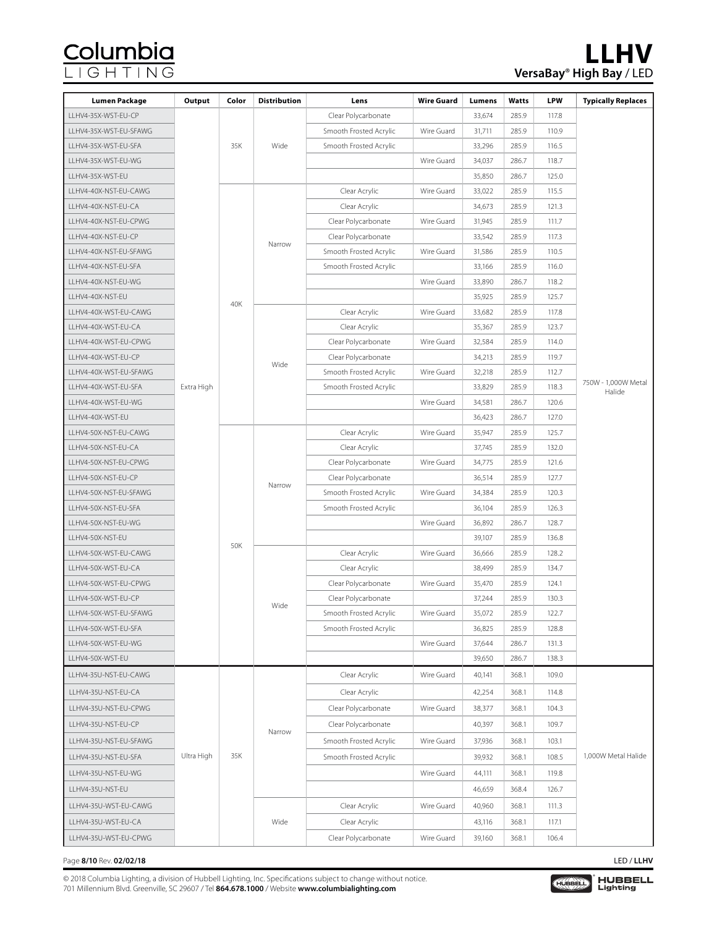# Columbia<br>LIGHTING

| Lumen Package          | Output     | Color | <b>Distribution</b> | Lens                   | <b>Wire Guard</b> | Lumens | Watts | <b>LPW</b> | <b>Typically Replaces</b> |
|------------------------|------------|-------|---------------------|------------------------|-------------------|--------|-------|------------|---------------------------|
| LLHV4-35X-WST-EU-CP    |            |       |                     | Clear Polycarbonate    |                   | 33,674 | 285.9 | 117.8      |                           |
| LLHV4-35X-WST-EU-SFAWG |            |       |                     | Smooth Frosted Acrylic | Wire Guard        | 31,711 | 285.9 | 110.9      |                           |
| LLHV4-35X-WST-EU-SFA   |            | 35K   | Wide                | Smooth Frosted Acrylic |                   | 33,296 | 285.9 | 116.5      |                           |
| LLHV4-35X-WST-EU-WG    |            |       |                     |                        | Wire Guard        | 34,037 | 286.7 | 118.7      |                           |
| LLHV4-35X-WST-EU       |            |       |                     |                        |                   | 35,850 | 286.7 | 125.0      |                           |
| LLHV4-40X-NST-EU-CAWG  |            |       |                     | Clear Acrylic          | Wire Guard        | 33,022 | 285.9 | 115.5      |                           |
| LLHV4-40X-NST-EU-CA    |            |       |                     | Clear Acrylic          |                   | 34,673 | 285.9 | 121.3      |                           |
| LLHV4-40X-NST-EU-CPWG  |            |       |                     | Clear Polycarbonate    | Wire Guard        | 31,945 | 285.9 | 111.7      |                           |
| LLHV4-40X-NST-EU-CP    |            |       | Narrow              | Clear Polycarbonate    |                   | 33,542 | 285.9 | 117.3      |                           |
| LLHV4-40X-NST-EU-SFAWG |            |       |                     | Smooth Frosted Acrylic | Wire Guard        | 31,586 | 285.9 | 110.5      |                           |
| LLHV4-40X-NST-EU-SFA   |            |       |                     | Smooth Frosted Acrylic |                   | 33,166 | 285.9 | 116.0      |                           |
| LLHV4-40X-NST-EU-WG    |            |       |                     |                        | Wire Guard        | 33,890 | 286.7 | 118.2      |                           |
| LLHV4-40X-NST-EU       |            | 40K   |                     |                        |                   | 35,925 | 285.9 | 125.7      |                           |
| LLHV4-40X-WST-EU-CAWG  |            |       |                     | Clear Acrylic          | Wire Guard        | 33,682 | 285.9 | 117.8      |                           |
| LLHV4-40X-WST-EU-CA    |            |       |                     | Clear Acrylic          |                   | 35,367 | 285.9 | 123.7      |                           |
| LLHV4-40X-WST-EU-CPWG  |            |       |                     | Clear Polycarbonate    | Wire Guard        | 32,584 | 285.9 | 114.0      |                           |
| LLHV4-40X-WST-EU-CP    |            |       | Wide                | Clear Polycarbonate    |                   | 34,213 | 285.9 | 119.7      |                           |
| LLHV4-40X-WST-EU-SFAWG |            |       |                     | Smooth Frosted Acrylic | Wire Guard        | 32,218 | 285.9 | 112.7      | 750W - 1,000W Metal       |
| LLHV4-40X-WST-EU-SFA   | Extra High |       |                     | Smooth Frosted Acrylic |                   | 33,829 | 285.9 | 118.3      | Halide                    |
| LLHV4-40X-WST-EU-WG    |            |       |                     |                        | Wire Guard        | 34,581 | 286.7 | 120.6      |                           |
| LLHV4-40X-WST-EU       |            |       |                     |                        |                   | 36,423 | 286.7 | 127.0      |                           |
| LLHV4-50X-NST-EU-CAWG  |            |       |                     | Clear Acrylic          | Wire Guard        | 35,947 | 285.9 | 125.7      |                           |
| LLHV4-50X-NST-EU-CA    |            |       |                     | Clear Acrylic          |                   | 37,745 | 285.9 | 132.0      |                           |
| LLHV4-50X-NST-EU-CPWG  |            |       |                     | Clear Polycarbonate    | Wire Guard        | 34,775 | 285.9 | 121.6      |                           |
| LLHV4-50X-NST-EU-CP    |            |       | Narrow              | Clear Polycarbonate    |                   | 36,514 | 285.9 | 127.7      |                           |
| LLHV4-50X-NST-EU-SFAWG |            |       |                     | Smooth Frosted Acrylic | Wire Guard        | 34,384 | 285.9 | 120.3      |                           |
| LLHV4-50X-NST-EU-SFA   |            |       |                     | Smooth Frosted Acrylic |                   | 36,104 | 285.9 | 126.3      |                           |
| LLHV4-50X-NST-EU-WG    |            |       |                     |                        | Wire Guard        | 36,892 | 286.7 | 128.7      |                           |
| LLHV4-50X-NST-EU       |            | 50K   |                     |                        |                   | 39,107 | 285.9 | 136.8      |                           |
| LLHV4-50X-WST-EU-CAWG  |            |       | Wide                | Clear Acrylic          | Wire Guard        | 36,666 | 285.9 | 128.2      |                           |
| LLHV4-50X-WST-EU-CA    |            |       |                     | Clear Acrylic          |                   | 38,499 | 285.9 | 134.7      |                           |
| LLHV4-50X-WST-EU-CPWG  |            |       |                     | Clear Polycarbonate    | Wire Guard        | 35,470 | 285.9 | 124.1      |                           |
| LLHV4-50X-WST-EU-CP    |            |       |                     | Clear Polycarbonate    |                   | 37,244 | 285.9 | 130.3      |                           |
| LLHV4-50X-WST-EU-SFAWG |            |       |                     | Smooth Frosted Acrylic | Wire Guard        | 35,072 | 285.9 | 122.7      |                           |
| LLHV4-50X-WST-EU-SFA   |            |       |                     | Smooth Frosted Acrylic |                   | 36,825 | 285.9 | 128.8      |                           |
| LLHV4-50X-WST-EU-WG    |            |       |                     |                        | Wire Guard        | 37,644 | 286.7 | 131.3      |                           |
| LLHV4-50X-WST-EU       |            |       |                     |                        |                   | 39,650 | 286.7 | 138.3      |                           |
| LLHV4-35U-NST-EU-CAWG  |            |       |                     | Clear Acrylic          | Wire Guard        | 40,141 | 368.1 | 109.0      | 1,000W Metal Halide       |
| LLHV4-35U-NST-EU-CA    |            | 35K   | Narrow              | Clear Acrylic          |                   | 42,254 | 368.1 | 114.8      |                           |
| LLHV4-35U-NST-EU-CPWG  |            |       |                     | Clear Polycarbonate    | Wire Guard        | 38,377 | 368.1 | 104.3      |                           |
| LLHV4-35U-NST-EU-CP    |            |       |                     | Clear Polycarbonate    |                   | 40,397 | 368.1 | 109.7      |                           |
| LLHV4-35U-NST-EU-SFAWG |            |       |                     | Smooth Frosted Acrylic | Wire Guard        | 37,936 | 368.1 | 103.1      |                           |
| LLHV4-35U-NST-EU-SFA   | Ultra High |       |                     | Smooth Frosted Acrylic |                   | 39,932 | 368.1 | 108.5      |                           |
| LLHV4-35U-NST-EU-WG    |            |       |                     |                        | Wire Guard        | 44,111 | 368.1 | 119.8      |                           |
| LLHV4-35U-NST-EU       |            |       |                     |                        |                   | 46,659 | 368.4 | 126.7      |                           |
| LLHV4-35U-WST-EU-CAWG  |            |       | Wide                | Clear Acrylic          | Wire Guard        | 40,960 | 368.1 | 111.3      |                           |
| LLHV4-35U-WST-EU-CA    |            |       |                     | Clear Acrylic          |                   | 43,116 | 368.1 | 117.1      |                           |
| LLHV4-35U-WST-EU-CPWG  |            |       |                     | Clear Polycarbonate    | Wire Guard        | 39,160 | 368.1 | 106.4      |                           |
|                        |            |       |                     |                        |                   |        |       |            |                           |

#### Page **8/10** Rev. **02/02/18** LED / **LLHV**

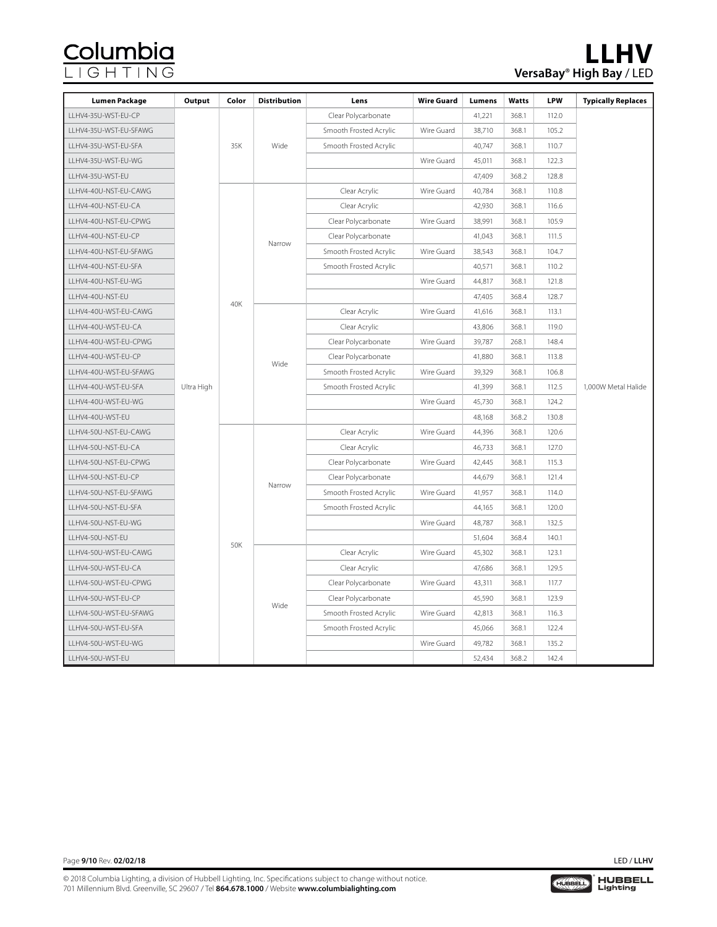| <b>Lumen Package</b>   | Output     | Color | <b>Distribution</b> | Lens                   | <b>Wire Guard</b> | Lumens | Watts | <b>LPW</b> | <b>Typically Replaces</b> |
|------------------------|------------|-------|---------------------|------------------------|-------------------|--------|-------|------------|---------------------------|
| LLHV4-35U-WST-EU-CP    |            |       | Wide                | Clear Polycarbonate    |                   | 41,221 | 368.1 | 112.0      |                           |
| LLHV4-35U-WST-EU-SFAWG |            | 35K   |                     | Smooth Frosted Acrylic | Wire Guard        | 38,710 | 368.1 | 105.2      |                           |
| LLHV4-35U-WST-EU-SFA   |            |       |                     | Smooth Frosted Acrylic |                   | 40,747 | 368.1 | 110.7      |                           |
| LLHV4-35U-WST-EU-WG    |            |       |                     |                        | Wire Guard        | 45,011 | 368.1 | 122.3      |                           |
| LLHV4-35U-WST-EU       |            |       |                     |                        |                   | 47,409 | 368.2 | 128.8      |                           |
| LLHV4-40U-NST-EU-CAWG  |            |       | Narrow              | Clear Acrylic          | Wire Guard        | 40,784 | 368.1 | 110.8      |                           |
| LLHV4-40U-NST-EU-CA    |            |       |                     | Clear Acrylic          |                   | 42,930 | 368.1 | 116.6      |                           |
| LLHV4-40U-NST-EU-CPWG  |            |       |                     | Clear Polycarbonate    | Wire Guard        | 38,991 | 368.1 | 105.9      |                           |
| LLHV4-40U-NST-EU-CP    |            |       |                     | Clear Polycarbonate    |                   | 41,043 | 368.1 | 111.5      |                           |
| LLHV4-40U-NST-EU-SFAWG |            |       |                     | Smooth Frosted Acrylic | Wire Guard        | 38,543 | 368.1 | 104.7      |                           |
| LLHV4-40U-NST-EU-SFA   |            |       |                     | Smooth Frosted Acrylic |                   | 40,571 | 368.1 | 110.2      |                           |
| LLHV4-40U-NST-EU-WG    |            |       |                     |                        | Wire Guard        | 44,817 | 368.1 | 121.8      |                           |
| LLHV4-40U-NST-EU       |            |       |                     |                        |                   | 47,405 | 368.4 | 128.7      |                           |
| LLHV4-40U-WST-EU-CAWG  |            | 40K   | Wide                | Clear Acrylic          | Wire Guard        | 41,616 | 368.1 | 113.1      |                           |
| LLHV4-40U-WST-EU-CA    |            |       |                     | Clear Acrylic          |                   | 43,806 | 368.1 | 119.0      |                           |
| LLHV4-40U-WST-EU-CPWG  |            |       |                     | Clear Polycarbonate    | Wire Guard        | 39,787 | 268.1 | 148.4      | 1,000W Metal Halide       |
| LLHV4-40U-WST-EU-CP    |            |       |                     | Clear Polycarbonate    |                   | 41,880 | 368.1 | 113.8      |                           |
| LLHV4-40U-WST-EU-SFAWG |            |       |                     | Smooth Frosted Acrylic | Wire Guard        | 39,329 | 368.1 | 106.8      |                           |
| LLHV4-40U-WST-EU-SFA   | Ultra High |       |                     | Smooth Frosted Acrylic |                   | 41,399 | 368.1 | 112.5      |                           |
| LLHV4-40U-WST-EU-WG    |            |       |                     |                        | Wire Guard        | 45,730 | 368.1 | 124.2      |                           |
| LLHV4-40U-WST-EU       |            |       |                     |                        |                   | 48,168 | 368.2 | 130.8      |                           |
| LLHV4-50U-NST-EU-CAWG  |            | 50K   | Narrow              | Clear Acrylic          | Wire Guard        | 44,396 | 368.1 | 120.6      |                           |
| LLHV4-50U-NST-EU-CA    |            |       |                     | Clear Acrylic          |                   | 46,733 | 368.1 | 127.0      |                           |
| LLHV4-50U-NST-EU-CPWG  |            |       |                     | Clear Polycarbonate    | Wire Guard        | 42,445 | 368.1 | 115.3      |                           |
| LLHV4-50U-NST-EU-CP    |            |       |                     | Clear Polycarbonate    |                   | 44,679 | 368.1 | 121.4      |                           |
| LLHV4-50U-NST-EU-SFAWG |            |       |                     | Smooth Frosted Acrylic | Wire Guard        | 41,957 | 368.1 | 114.0      |                           |
| LLHV4-50U-NST-EU-SFA   |            |       |                     | Smooth Frosted Acrylic |                   | 44,165 | 368.1 | 120.0      |                           |
| LLHV4-50U-NST-EU-WG    |            |       |                     |                        | Wire Guard        | 48,787 | 368.1 | 132.5      |                           |
| LLHV4-50U-NST-EU       |            |       |                     |                        |                   | 51,604 | 368.4 | 140.1      |                           |
| LLHV4-50U-WST-EU-CAWG  |            |       | Wide                | Clear Acrylic          | Wire Guard        | 45,302 | 368.1 | 123.1      |                           |
| LLHV4-50U-WST-EU-CA    |            |       |                     | Clear Acrylic          |                   | 47,686 | 368.1 | 129.5      |                           |
| LLHV4-50U-WST-EU-CPWG  |            |       |                     | Clear Polycarbonate    | Wire Guard        | 43,311 | 368.1 | 117.7      |                           |
| LLHV4-50U-WST-EU-CP    |            |       |                     | Clear Polycarbonate    |                   | 45,590 | 368.1 | 123.9      |                           |
| LLHV4-50U-WST-EU-SFAWG |            |       |                     | Smooth Frosted Acrylic | Wire Guard        | 42,813 | 368.1 | 116.3      |                           |
| LLHV4-50U-WST-EU-SFA   |            |       |                     | Smooth Frosted Acrylic |                   | 45,066 | 368.1 | 122.4      |                           |
| LLHV4-50U-WST-EU-WG    |            |       |                     |                        | Wire Guard        | 49,782 | 368.1 | 135.2      |                           |
| LLHV4-50U-WST-EU       |            |       |                     |                        |                   | 52,434 | 368.2 | 142.4      |                           |